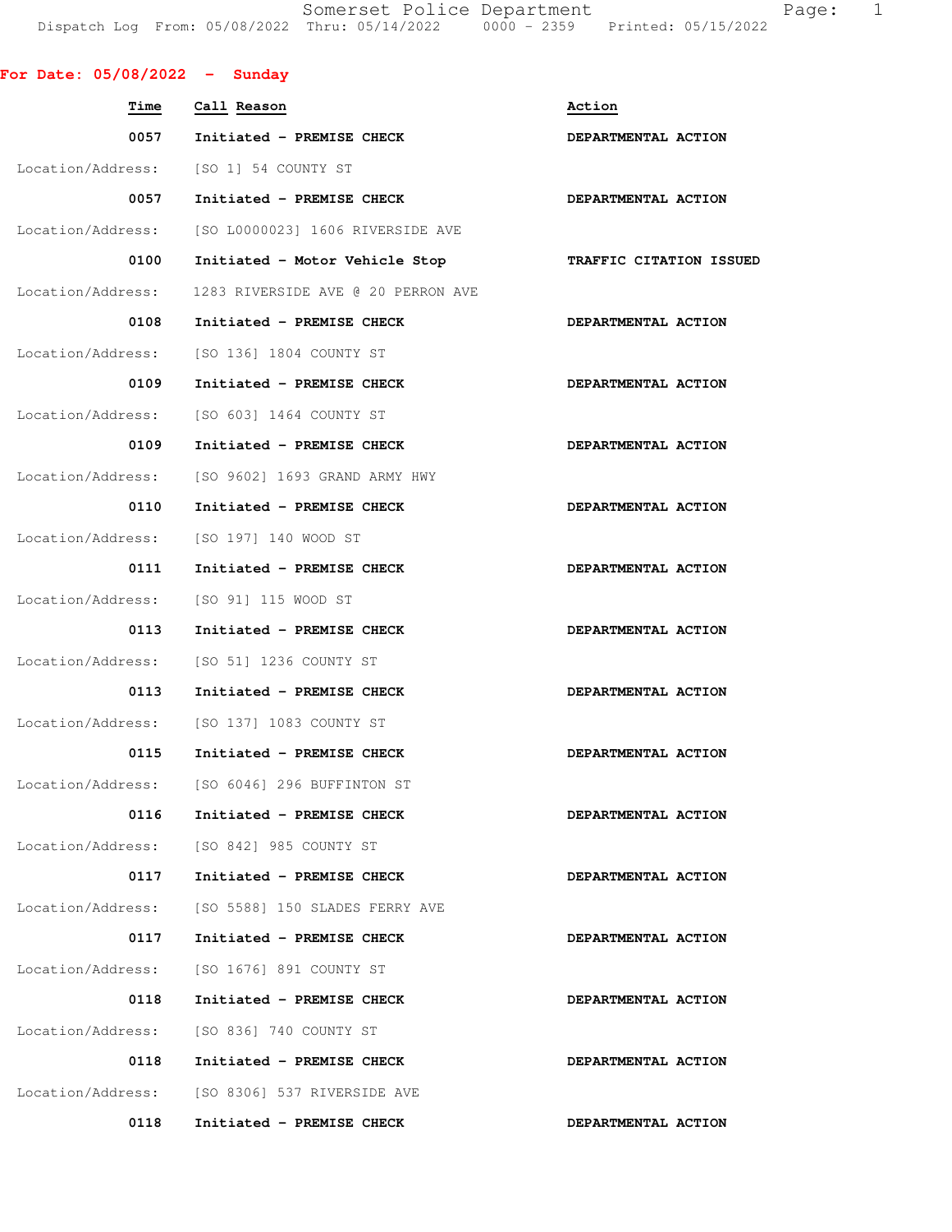Somerset Police Department Fage: 1 Dispatch Log From: 05/08/2022 Thru: 05/14/2022 0000 - 2359 Printed: 05/15/2022

| For Date: $05/08/2022 -$ Sunday |                                                      |                         |
|---------------------------------|------------------------------------------------------|-------------------------|
| Time                            | Call Reason                                          | Action                  |
| 0057                            | Initiated - PREMISE CHECK                            | DEPARTMENTAL ACTION     |
| Location/Address:               | [SO 1] 54 COUNTY ST                                  |                         |
| 0057                            | Initiated - PREMISE CHECK                            | DEPARTMENTAL ACTION     |
| Location/Address:               | [SO L0000023] 1606 RIVERSIDE AVE                     |                         |
| 0100                            | Initiated - Motor Vehicle Stop                       | TRAFFIC CITATION ISSUED |
|                                 | Location/Address: 1283 RIVERSIDE AVE @ 20 PERRON AVE |                         |
| 0108                            | Initiated - PREMISE CHECK                            | DEPARTMENTAL ACTION     |
| Location/Address:               | [SO 136] 1804 COUNTY ST                              |                         |
| 0109                            | Initiated - PREMISE CHECK                            | DEPARTMENTAL ACTION     |
| Location/Address:               | [SO 603] 1464 COUNTY ST                              |                         |
| 0109                            | Initiated - PREMISE CHECK                            | DEPARTMENTAL ACTION     |
| Location/Address:               | [SO 9602] 1693 GRAND ARMY HWY                        |                         |
| 0110                            | Initiated - PREMISE CHECK                            | DEPARTMENTAL ACTION     |
| Location/Address:               | [SO 197] 140 WOOD ST                                 |                         |
| 0111                            | Initiated - PREMISE CHECK                            | DEPARTMENTAL ACTION     |
| Location/Address:               | [SO 91] 115 WOOD ST                                  |                         |
| 0113                            | Initiated - PREMISE CHECK                            | DEPARTMENTAL ACTION     |
| Location/Address:               | [SO 51] 1236 COUNTY ST                               |                         |
| 0113                            | Initiated - PREMISE CHECK                            | DEPARTMENTAL ACTION     |
|                                 | Location/Address: [SO 137] 1083 COUNTY ST            |                         |
| 0115                            | Initiated - PREMISE CHECK                            | DEPARTMENTAL ACTION     |
|                                 | Location/Address: [SO 6046] 296 BUFFINTON ST         |                         |
| 0116                            | Initiated - PREMISE CHECK                            | DEPARTMENTAL ACTION     |
| Location/Address:               | [SO 842] 985 COUNTY ST                               |                         |
| 0117                            | Initiated - PREMISE CHECK                            | DEPARTMENTAL ACTION     |
| Location/Address:               | [SO 5588] 150 SLADES FERRY AVE                       |                         |
| 0117                            | Initiated - PREMISE CHECK                            | DEPARTMENTAL ACTION     |
| Location/Address:               | [SO 1676] 891 COUNTY ST                              |                         |
| 0118                            | Initiated - PREMISE CHECK                            | DEPARTMENTAL ACTION     |
| Location/Address:               | [SO 836] 740 COUNTY ST                               |                         |
| 0118                            | Initiated - PREMISE CHECK                            | DEPARTMENTAL ACTION     |
|                                 | Location/Address: [SO 8306] 537 RIVERSIDE AVE        |                         |
| 0118                            | Initiated - PREMISE CHECK                            | DEPARTMENTAL ACTION     |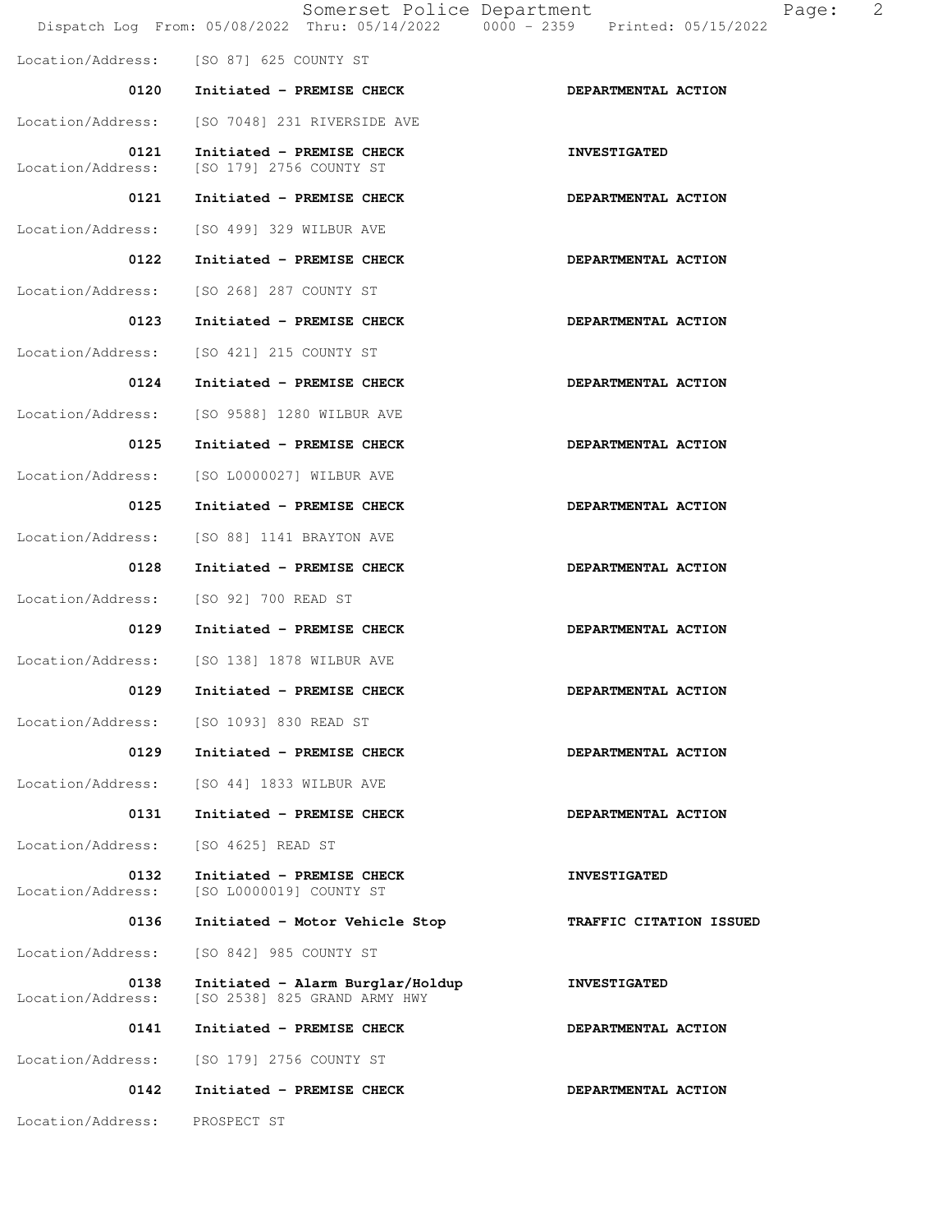|                           | Somerset Police Department                                       | Page:<br>Dispatch Log From: 05/08/2022 Thru: 05/14/2022 0000 - 2359 Printed: 05/15/2022 | $\mathbf{2}$ |
|---------------------------|------------------------------------------------------------------|-----------------------------------------------------------------------------------------|--------------|
|                           | Location/Address: [SO 87] 625 COUNTY ST                          |                                                                                         |              |
| 0120                      | Initiated - PREMISE CHECK                                        | DEPARTMENTAL ACTION                                                                     |              |
| Location/Address:         | [SO 7048] 231 RIVERSIDE AVE                                      |                                                                                         |              |
| 0121<br>Location/Address: | Initiated - PREMISE CHECK<br>[SO 179] 2756 COUNTY ST             | <b>INVESTIGATED</b>                                                                     |              |
| 0121                      | Initiated - PREMISE CHECK                                        | DEPARTMENTAL ACTION                                                                     |              |
| Location/Address:         | [SO 499] 329 WILBUR AVE                                          |                                                                                         |              |
| 0122                      | Initiated - PREMISE CHECK                                        | DEPARTMENTAL ACTION                                                                     |              |
| Location/Address:         | [SO 268] 287 COUNTY ST                                           |                                                                                         |              |
| 0123                      | Initiated - PREMISE CHECK                                        | DEPARTMENTAL ACTION                                                                     |              |
| Location/Address:         | [SO 421] 215 COUNTY ST                                           |                                                                                         |              |
| 0124                      | Initiated - PREMISE CHECK                                        | DEPARTMENTAL ACTION                                                                     |              |
| Location/Address:         | [SO 9588] 1280 WILBUR AVE                                        |                                                                                         |              |
| 0125                      | Initiated - PREMISE CHECK                                        | DEPARTMENTAL ACTION                                                                     |              |
| Location/Address:         | [SO L0000027] WILBUR AVE                                         |                                                                                         |              |
| 0125                      | Initiated - PREMISE CHECK                                        | DEPARTMENTAL ACTION                                                                     |              |
| Location/Address:         | [SO 88] 1141 BRAYTON AVE                                         |                                                                                         |              |
| 0128                      | Initiated - PREMISE CHECK                                        | DEPARTMENTAL ACTION                                                                     |              |
| Location/Address:         | [SO 92] 700 READ ST                                              |                                                                                         |              |
| 0129                      | Initiated - PREMISE CHECK                                        | DEPARTMENTAL ACTION                                                                     |              |
| Location/Address:         | [SO 138] 1878 WILBUR AVE                                         |                                                                                         |              |
| 0129                      | Initiated - PREMISE CHECK                                        | DEPARTMENTAL ACTION                                                                     |              |
|                           | Location/Address: [SO 1093] 830 READ ST                          |                                                                                         |              |
| 0129                      | Initiated - PREMISE CHECK                                        | DEPARTMENTAL ACTION                                                                     |              |
| Location/Address:         | [SO 44] 1833 WILBUR AVE                                          |                                                                                         |              |
| 0131                      | Initiated - PREMISE CHECK                                        | DEPARTMENTAL ACTION                                                                     |              |
| Location/Address:         | [SO 4625] READ ST                                                |                                                                                         |              |
| 0132<br>Location/Address: | Initiated - PREMISE CHECK<br>[SO L0000019] COUNTY ST             | <b>INVESTIGATED</b>                                                                     |              |
| 0136                      | Initiated - Motor Vehicle Stop                                   | TRAFFIC CITATION ISSUED                                                                 |              |
| Location/Address:         | [SO 842] 985 COUNTY ST                                           |                                                                                         |              |
| 0138<br>Location/Address: | Initiated - Alarm Burglar/Holdup<br>[SO 2538] 825 GRAND ARMY HWY | <b>INVESTIGATED</b>                                                                     |              |
| 0141                      | Initiated - PREMISE CHECK                                        | DEPARTMENTAL ACTION                                                                     |              |
| Location/Address:         | [SO 179] 2756 COUNTY ST                                          |                                                                                         |              |
| 0142                      | Initiated - PREMISE CHECK                                        | DEPARTMENTAL ACTION                                                                     |              |
| Location/Address:         | PROSPECT ST                                                      |                                                                                         |              |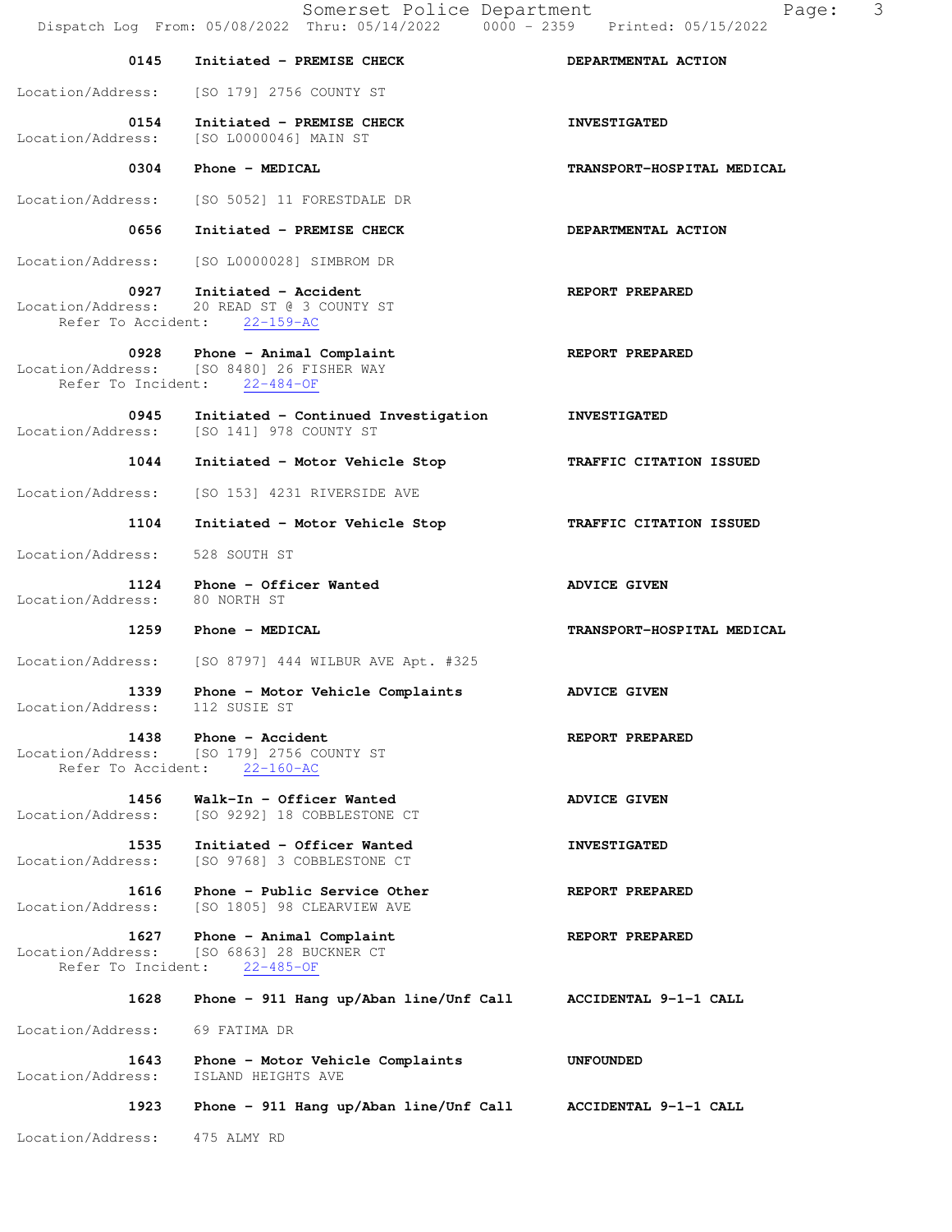Somerset Police Department Page: 3 Dispatch Log From: 05/08/2022 Thru: 05/14/2022 0000 - 2359 Printed: 05/15/2022 0145 Initiated - PREMISE CHECK **DEPARTMENTAL ACTION**  Location/Address: [SO 179] 2756 COUNTY ST 0154 Initiated - PREMISE CHECK **INVESTIGATED**  Location/Address: [SO L0000046] MAIN ST 0304 Phone - MEDICAL **CONSERVERS EXAMPLE TRANSPORT-HOSPITAL MEDICAL**  Location/Address: [SO 5052] 11 FORESTDALE DR 0656 Initiated - PREMISE CHECK **DEPARTMENTAL ACTION**  Location/Address: [SO L0000028] SIMBROM DR 0927 Initiated - Accident **REPORT PREPARED**  Location/Address: 20 READ ST @ 3 COUNTY ST Refer To Accident: 22-159-AC 0928 Phone - Animal Complaint **REPORT PREPARED**  Location/Address: [SO 8480] 26 FISHER WAY Refer To Incident: 22-484-OF  **0945 Initiated - Continued Investigation INVESTIGATED**  Location/Address: [SO 141] 978 COUNTY ST  **1044 Initiated - Motor Vehicle Stop TRAFFIC CITATION ISSUED**  Location/Address: [SO 153] 4231 RIVERSIDE AVE  **1104 Initiated - Motor Vehicle Stop TRAFFIC CITATION ISSUED**  Location/Address: 528 SOUTH ST **1124 Phone - Officer Wanted ADVICE GIVEN**<br> **RESS:** 80 NORTH ST Location/Address:  **1259 Phone - MEDICAL TRANSPORT-HOSPITAL MEDICAL**  Location/Address: [SO 8797] 444 WILBUR AVE Apt. #325 **1339 Phone - Motor Vehicle Complaints ADVICE GIVEN**<br>cess: 112 SUSIE ST Location/Address: **1438 Phone - Accident 1438 Phone - Accident REPORT PREPARED**<br>Location/Address: [SO 179] 2756 COUNTY ST [SO 179] 2756 COUNTY ST Refer To Accident: 22-160-AC  **1456 Walk-In - Officer Wanted ADVICE GIVEN**  Location/Address: [SO 9292] 18 COBBLESTONE CT  **1535 Initiated - Officer Wanted INVESTIGATED**  Location/Address: [SO 9768] 3 COBBLESTONE CT 1616 Phone - Public Service Other **REPORT PREPARED**  Location/Address: [SO 1805] 98 CLEARVIEW AVE 1627 Phone - Animal Complaint **REPORT PREPARED** Location/Address: [SO 6863] 28 BUCKNER CT<br>Refer To Incident: 22-485-OF Refer To Incident:  **1628 Phone - 911 Hang up/Aban line/Unf Call ACCIDENTAL 9-1-1 CALL**  Location/Address: 69 FATIMA DR **1643 Phone - Motor Vehicle Complaints UNFOUNDED**<br>ess: ISLAND HEIGHTS AVE Location/Address:  **1923 Phone - 911 Hang up/Aban line/Unf Call ACCIDENTAL 9-1-1 CALL**  Location/Address: 475 ALMY RD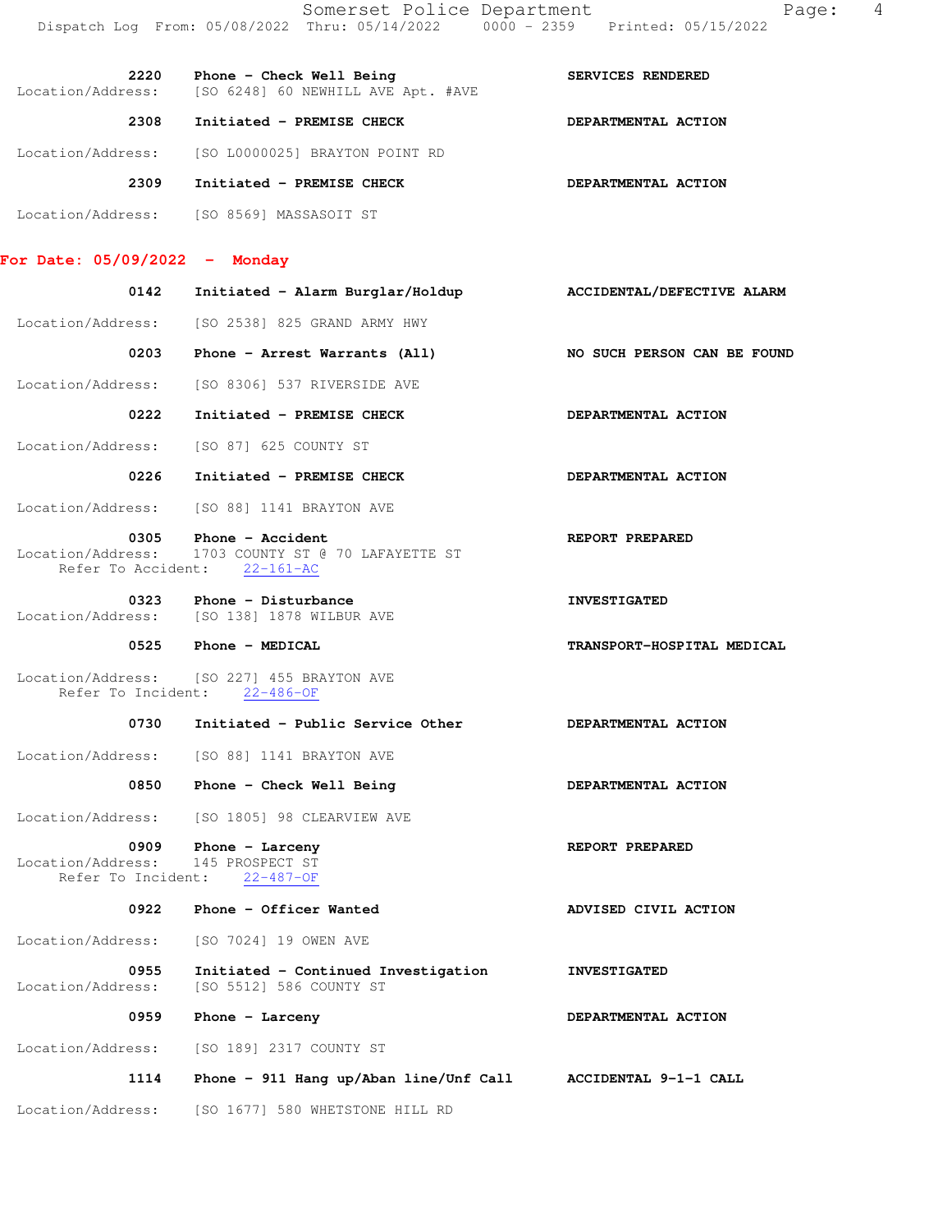2220 Phone - Check Well Being **SERVICES RENDERED**  Location/Address: [SO 6248] 60 NEWHILL AVE Apt. #AVE 2308 Initiated - PREMISE CHECK **DEPARTMENTAL ACTION**  Location/Address: [SO L0000025] BRAYTON POINT RD 2309 Initiated - PREMISE CHECK **DEPARTMENTAL ACTION** 

Location/Address: [SO 8569] MASSASOIT ST

## **For Date: 05/09/2022 - Monday**

| 0142                      | Initiated - Alarm Burglar/Holdup                                                                       | <b>ACCIDENTAL/DEFECTIVE ALARM</b> |
|---------------------------|--------------------------------------------------------------------------------------------------------|-----------------------------------|
|                           | Location/Address: [SO 2538] 825 GRAND ARMY HWY                                                         |                                   |
| 0203                      | Phone - Arrest Warrants (All)                                                                          | NO SUCH PERSON CAN BE FOUND       |
| Location/Address:         | [SO 8306] 537 RIVERSIDE AVE                                                                            |                                   |
| 0222                      | Initiated - PREMISE CHECK                                                                              | DEPARTMENTAL ACTION               |
| Location/Address:         | [SO 87] 625 COUNTY ST                                                                                  |                                   |
| 0226                      | Initiated - PREMISE CHECK                                                                              | DEPARTMENTAL ACTION               |
|                           | Location/Address: [SO 88] 1141 BRAYTON AVE                                                             |                                   |
| 0305                      | Phone - Accident<br>Location/Address: 1703 COUNTY ST @ 70 LAFAYETTE ST<br>Refer To Accident: 22-161-AC | REPORT PREPARED                   |
| 0323                      | Phone - Disturbance<br>Location/Address: [SO 138] 1878 WILBUR AVE                                      | <b>INVESTIGATED</b>               |
|                           | 0525 Phone - MEDICAL                                                                                   | TRANSPORT-HOSPITAL MEDICAL        |
|                           | Location/Address: [SO 227] 455 BRAYTON AVE<br>Refer To Incident: 22-486-OF                             |                                   |
| 0730                      | Initiated - Public Service Other                                                                       | DEPARTMENTAL ACTION               |
|                           | Location/Address: [SO 88] 1141 BRAYTON AVE                                                             |                                   |
| 0850                      | Phone - Check Well Being                                                                               | DEPARTMENTAL ACTION               |
|                           |                                                                                                        |                                   |
|                           | Location/Address: [SO 1805] 98 CLEARVIEW AVE                                                           |                                   |
| 0909<br>Location/Address: | Phone - Larceny<br>145 PROSPECT ST<br>Refer To Incident: 22-487-OF                                     | REPORT PREPARED                   |
|                           | 0922 Phone - Officer Wanted                                                                            | ADVISED CIVIL ACTION              |
|                           | Location/Address: [SO 7024] 19 OWEN AVE                                                                |                                   |
| 0955<br>Location/Address: | Initiated - Continued Investigation<br>[SO 5512] 586 COUNTY ST                                         | <b>INVESTIGATED</b>               |
| 0959                      | Phone $-$ Larceny                                                                                      | DEPARTMENTAL ACTION               |
| Location/Address:         | [SO 189] 2317 COUNTY ST                                                                                |                                   |
| 1114                      | Phone - 911 Hang up/Aban line/Unf Call                                                                 | ACCIDENTAL 9-1-1 CALL             |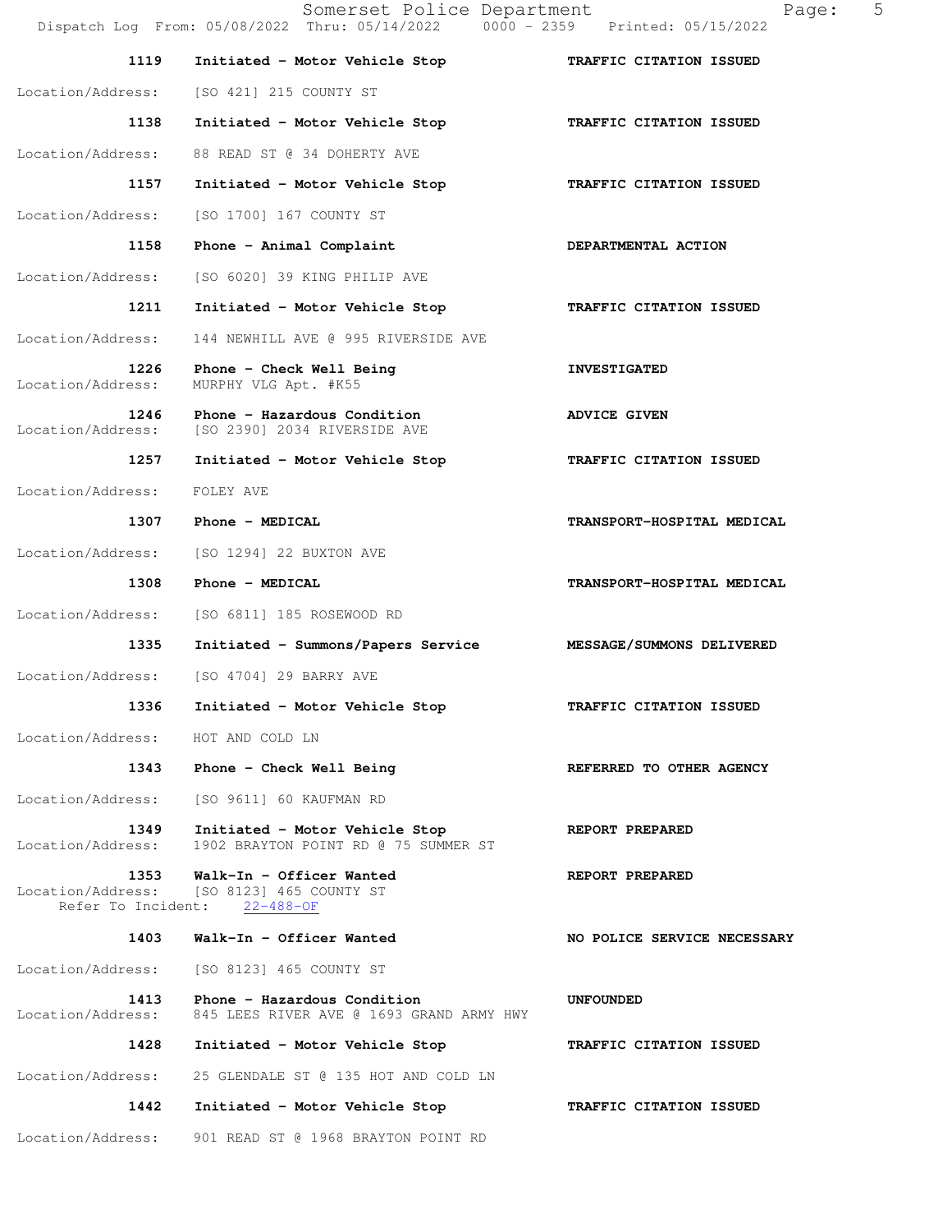|                                   | Somerset Police Department<br>Dispatch Log From: 05/08/2022 Thru: 05/14/2022 0000 - 2359 Printed: 05/15/2022 | 5<br>Page:                  |
|-----------------------------------|--------------------------------------------------------------------------------------------------------------|-----------------------------|
| 1119                              | Initiated - Motor Vehicle Stop                                                                               | TRAFFIC CITATION ISSUED     |
| Location/Address:                 | [SO 421] 215 COUNTY ST                                                                                       |                             |
| 1138                              | Initiated - Motor Vehicle Stop                                                                               | TRAFFIC CITATION ISSUED     |
| Location/Address:                 | 88 READ ST @ 34 DOHERTY AVE                                                                                  |                             |
| 1157                              | Initiated - Motor Vehicle Stop                                                                               | TRAFFIC CITATION ISSUED     |
| Location/Address:                 | [SO 1700] 167 COUNTY ST                                                                                      |                             |
| 1158                              | Phone - Animal Complaint                                                                                     | DEPARTMENTAL ACTION         |
| Location/Address:                 | [SO 6020] 39 KING PHILIP AVE                                                                                 |                             |
| 1211                              | Initiated - Motor Vehicle Stop                                                                               | TRAFFIC CITATION ISSUED     |
| Location/Address:                 | 144 NEWHILL AVE @ 995 RIVERSIDE AVE                                                                          |                             |
| 1226<br>Location/Address:         | Phone - Check Well Being<br>MURPHY VLG Apt. #K55                                                             | <b>INVESTIGATED</b>         |
| 1246<br>Location/Address:         | Phone - Hazardous Condition<br>[SO 2390] 2034 RIVERSIDE AVE                                                  | ADVICE GIVEN                |
| 1257                              | Initiated - Motor Vehicle Stop                                                                               | TRAFFIC CITATION ISSUED     |
| Location/Address:                 | FOLEY AVE                                                                                                    |                             |
| 1307                              | Phone - MEDICAL                                                                                              | TRANSPORT-HOSPITAL MEDICAL  |
| Location/Address:                 | [SO 1294] 22 BUXTON AVE                                                                                      |                             |
| 1308                              | Phone - MEDICAL                                                                                              | TRANSPORT-HOSPITAL MEDICAL  |
| Location/Address:                 | [SO 6811] 185 ROSEWOOD RD                                                                                    |                             |
| 1335                              | Initiated - Summons/Papers Service                                                                           | MESSAGE/SUMMONS DELIVERED   |
| Location/Address:                 | [SO 4704] 29 BARRY AVE                                                                                       |                             |
| 1336                              | Initiated - Motor Vehicle Stop                                                                               | TRAFFIC CITATION ISSUED     |
| Location/Address: HOT AND COLD LN |                                                                                                              |                             |
| 1343                              | Phone - Check Well Being                                                                                     | REFERRED TO OTHER AGENCY    |
| Location/Address:                 | [SO 9611] 60 KAUFMAN RD                                                                                      |                             |
| 1349<br>Location/Address:         | Initiated - Motor Vehicle Stop<br>1902 BRAYTON POINT RD @ 75 SUMMER ST                                       | REPORT PREPARED             |
| 1353                              | Walk-In - Officer Wanted<br>Location/Address: [SO 8123] 465 COUNTY ST<br>Refer To Incident: 22-488-OF        | REPORT PREPARED             |
| 1403                              | Walk-In - Officer Wanted                                                                                     | NO POLICE SERVICE NECESSARY |
| Location/Address:                 | [SO 8123] 465 COUNTY ST                                                                                      |                             |
| 1413<br>Location/Address:         | Phone - Hazardous Condition<br>845 LEES RIVER AVE @ 1693 GRAND ARMY HWY                                      | <b>UNFOUNDED</b>            |
| 1428                              | Initiated - Motor Vehicle Stop                                                                               | TRAFFIC CITATION ISSUED     |
| Location/Address:                 | 25 GLENDALE ST @ 135 HOT AND COLD LN                                                                         |                             |
| 1442                              | Initiated - Motor Vehicle Stop                                                                               | TRAFFIC CITATION ISSUED     |
| Location/Address:                 | 901 READ ST @ 1968 BRAYTON POINT RD                                                                          |                             |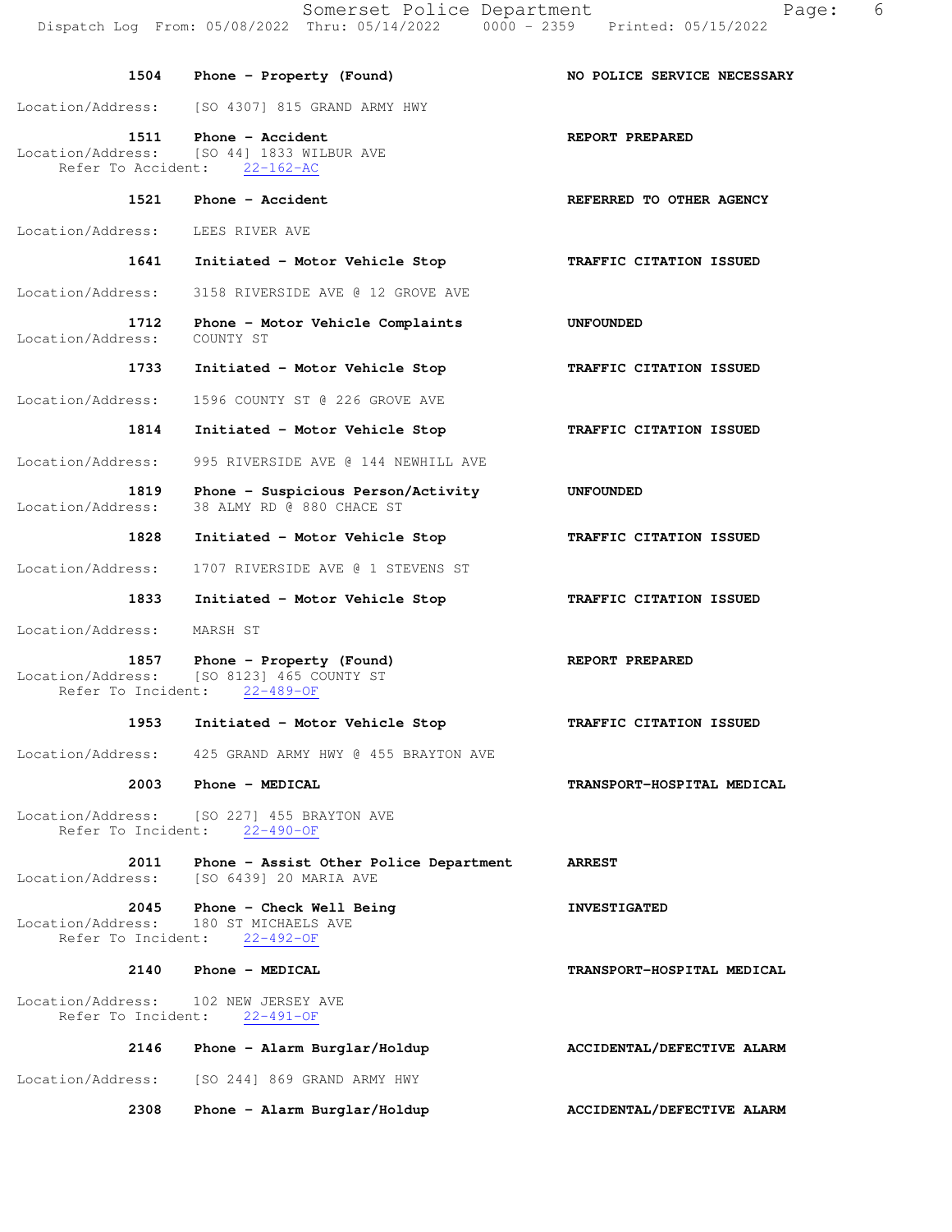**1504 Phone - Property (Found) NO POLICE SERVICE NECESSARY** 

Location/Address: [SO 4307] 815 GRAND ARMY HWY

 **1511 Phone - Accident REPORT PREPARED**  Location/Address: [SO 44] 1833 WILBUR AVE<br>Refer To Accident: 22-162-AC Refer To Accident:

**1521 Phone - Accident Communist Phone - Accident Communist Phone Agency** REFERRED TO OTHER AGENCY

Location/Address: LEES RIVER AVE

 **1641 Initiated - Motor Vehicle Stop TRAFFIC CITATION ISSUED** 

Location/Address: 3158 RIVERSIDE AVE @ 12 GROVE AVE

 **1712 Phone - Motor Vehicle Complaints UNFOUNDED**  Location/Address: COUNTY ST

 **1733 Initiated - Motor Vehicle Stop TRAFFIC CITATION ISSUED** 

Location/Address: 1596 COUNTY ST @ 226 GROVE AVE

 **1814 Initiated - Motor Vehicle Stop TRAFFIC CITATION ISSUED** 

Location/Address: 995 RIVERSIDE AVE @ 144 NEWHILL AVE

**1819 Phone - Suspicious Person/Activity UNFOUNDED** Location/Address: 38 ALMY RD @ 880 CHACE ST 38 ALMY RD @ 880 CHACE ST

 **1828 Initiated - Motor Vehicle Stop TRAFFIC CITATION ISSUED** 

Location/Address: 1707 RIVERSIDE AVE @ 1 STEVENS ST

 **1833 Initiated - Motor Vehicle Stop TRAFFIC CITATION ISSUED** 

Location/Address: MARSH ST

1857 Phone - Property (Found) **REPORT PREPARED**  Location/Address: [SO 8123] 465 COUNTY ST Refer To Incident: 22-489-OF

 **1953 Initiated - Motor Vehicle Stop TRAFFIC CITATION ISSUED** 

Location/Address: 425 GRAND ARMY HWY @ 455 BRAYTON AVE

 **2003 Phone - MEDICAL TRANSPORT-HOSPITAL MEDICAL** 

 Location/Address: [SO 227] 455 BRAYTON AVE Refer To Incident: 22-490-OF

 **2011 Phone - Assist Other Police Department ARREST**  Location/Address: [SO 6439] 20 MARIA AVE

 **2045 Phone - Check Well Being INVESTIGATED**  Location/Address: 180 ST MICHAELS AVE Refer To Incident: 22-492-OF

 **2140 Phone - MEDICAL TRANSPORT-HOSPITAL MEDICAL** 

 Location/Address: 102 NEW JERSEY AVE Refer To Incident: 22-491-OF

 **2146 Phone - Alarm Burglar/Holdup ACCIDENTAL/DEFECTIVE ALARM** 

Location/Address: [SO 244] 869 GRAND ARMY HWY

 **2308 Phone - Alarm Burglar/Holdup ACCIDENTAL/DEFECTIVE ALARM**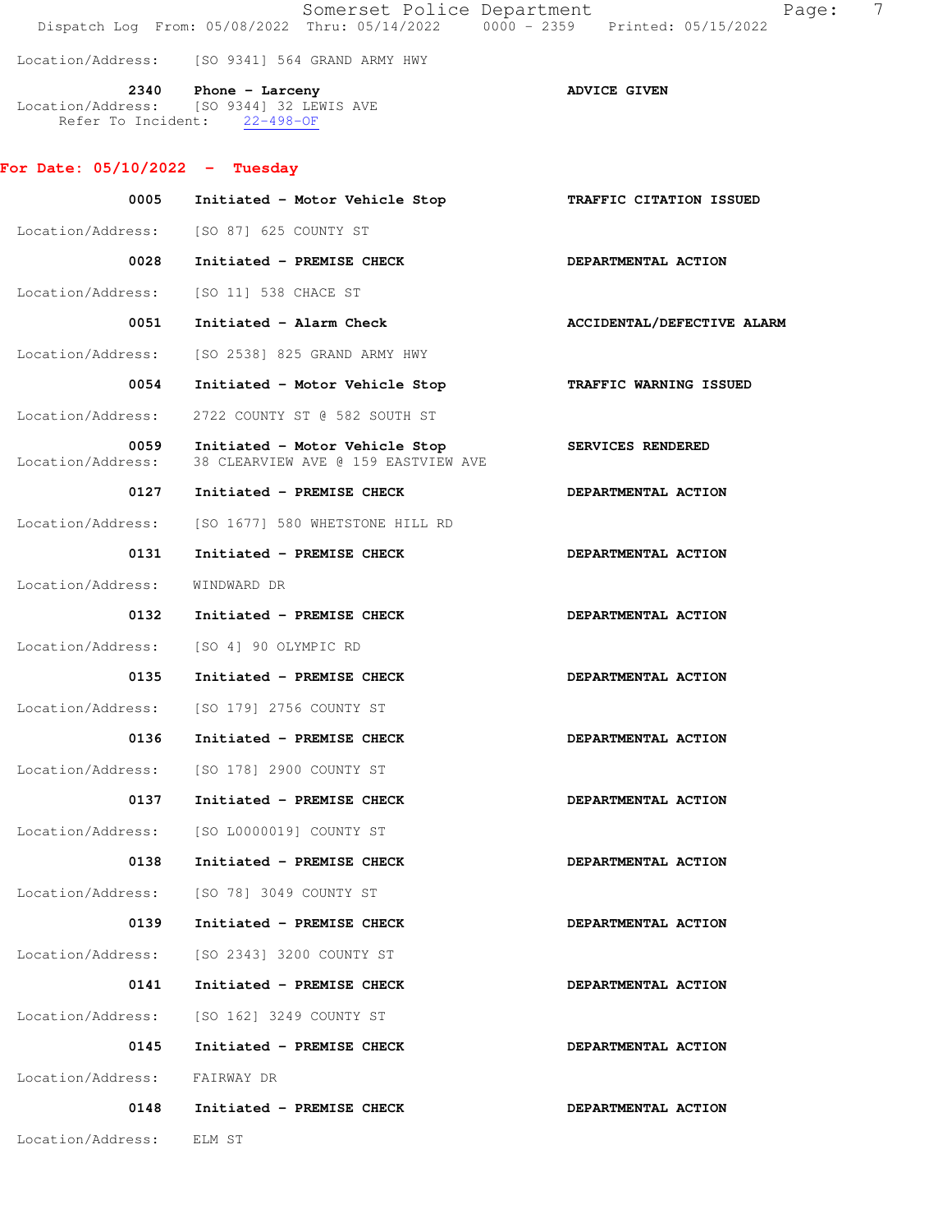|                                  | Somerset Police Department<br>Dispatch Log From: 05/08/2022 Thru: 05/14/2022 0000 - 2359 Printed: 05/15/2022 | 7<br>Page:                 |
|----------------------------------|--------------------------------------------------------------------------------------------------------------|----------------------------|
|                                  | Location/Address: [SO 9341] 564 GRAND ARMY HWY                                                               |                            |
|                                  | 2340 Phone - Larceny<br>Location/Address: [SO 9344] 32 LEWIS AVE<br>Refer To Incident: 22-498-OF             | ADVICE GIVEN               |
| For Date: $05/10/2022 -$ Tuesday |                                                                                                              |                            |
| 0005                             | Initiated - Motor Vehicle Stop                                                                               | TRAFFIC CITATION ISSUED    |
| Location/Address:                | [SO 87] 625 COUNTY ST                                                                                        |                            |
| 0028                             | Initiated - PREMISE CHECK                                                                                    | DEPARTMENTAL ACTION        |
| Location/Address:                | [SO 11] 538 CHACE ST                                                                                         |                            |
| 0051                             | Initiated - Alarm Check                                                                                      | ACCIDENTAL/DEFECTIVE ALARM |
| Location/Address:                | [SO 2538] 825 GRAND ARMY HWY                                                                                 |                            |
| 0054                             | Initiated - Motor Vehicle Stop                                                                               | TRAFFIC WARNING ISSUED     |
| Location/Address:                | 2722 COUNTY ST @ 582 SOUTH ST                                                                                |                            |
| 0059<br>Location/Address:        | Initiated - Motor Vehicle Stop<br>38 CLEARVIEW AVE @ 159 EASTVIEW AVE                                        | SERVICES RENDERED          |
| 0127                             | Initiated - PREMISE CHECK                                                                                    | DEPARTMENTAL ACTION        |
| Location/Address:                | [SO 1677] 580 WHETSTONE HILL RD                                                                              |                            |
| 0131                             | Initiated - PREMISE CHECK                                                                                    | DEPARTMENTAL ACTION        |
| Location/Address:                | WINDWARD DR                                                                                                  |                            |
| 0132                             | Initiated - PREMISE CHECK                                                                                    | DEPARTMENTAL ACTION        |
| Location/Address:                | [SO 4] 90 OLYMPIC RD                                                                                         |                            |
| 0135                             | Initiated - PREMISE CHECK                                                                                    | DEPARTMENTAL ACTION        |
| Location/Address:                | [SO 179] 2756 COUNTY ST                                                                                      |                            |
| 0136                             | Initiated - PREMISE CHECK                                                                                    | DEPARTMENTAL ACTION        |
| Location/Address:                | [SO 178] 2900 COUNTY ST                                                                                      |                            |
| 0137                             | Initiated - PREMISE CHECK                                                                                    | DEPARTMENTAL ACTION        |
| Location/Address:                | [SO L0000019] COUNTY ST                                                                                      |                            |
| 0138                             | Initiated - PREMISE CHECK                                                                                    | DEPARTMENTAL ACTION        |
| Location/Address:                | [SO 78] 3049 COUNTY ST                                                                                       |                            |
| 0139                             | Initiated - PREMISE CHECK                                                                                    | DEPARTMENTAL ACTION        |
| Location/Address:                | [SO 2343] 3200 COUNTY ST                                                                                     |                            |
| 0141                             | Initiated - PREMISE CHECK                                                                                    | DEPARTMENTAL ACTION        |
| Location/Address:                | [SO 162] 3249 COUNTY ST                                                                                      |                            |
| 0145                             | Initiated - PREMISE CHECK                                                                                    | DEPARTMENTAL ACTION        |
| Location/Address:                | FAIRWAY DR                                                                                                   |                            |
| 0148                             | Initiated - PREMISE CHECK                                                                                    | DEPARTMENTAL ACTION        |
| Location/Address:                | ELM ST                                                                                                       |                            |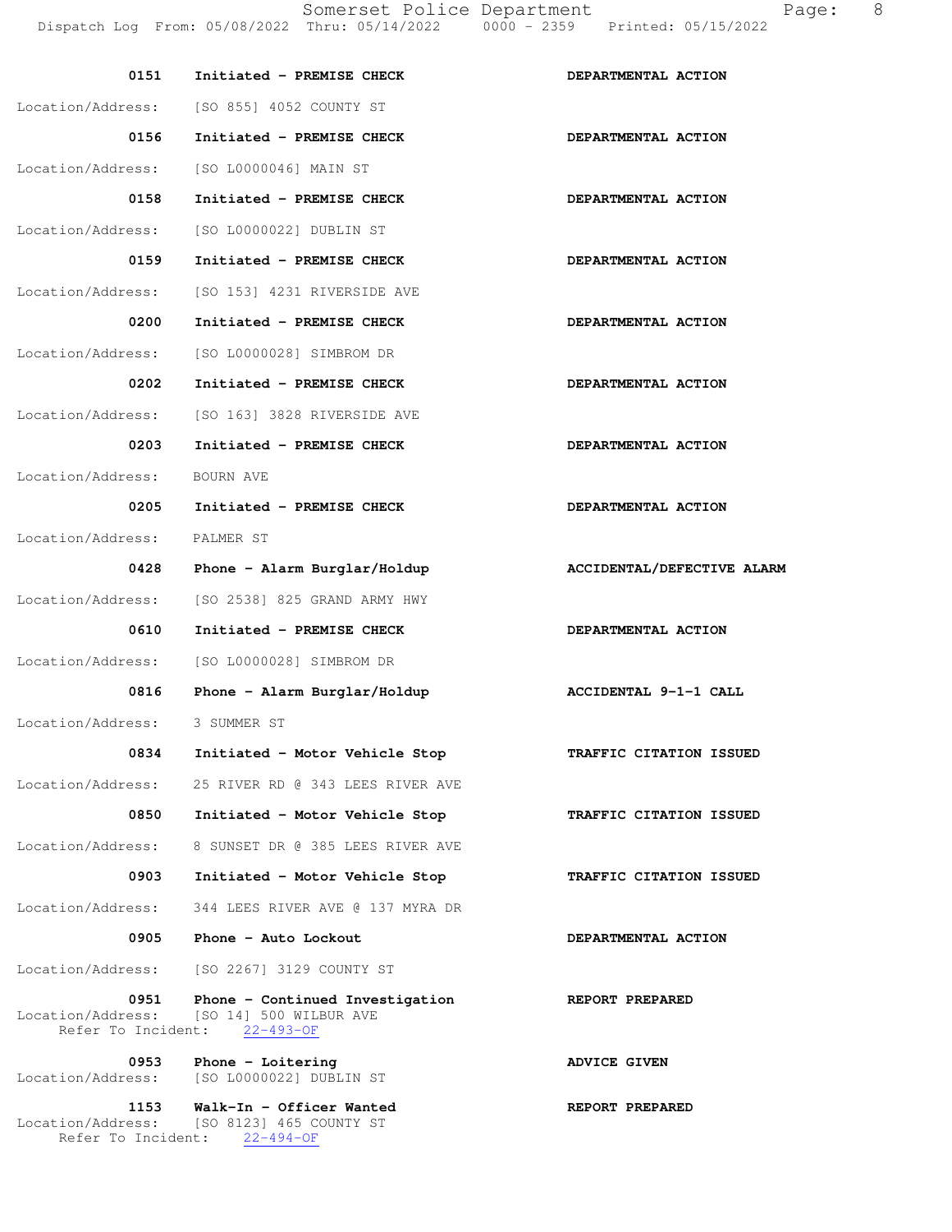| 0151                      | Initiated - PREMISE CHECK                                                                                   | DEPARTMENTAL ACTION        |
|---------------------------|-------------------------------------------------------------------------------------------------------------|----------------------------|
|                           | Location/Address: [SO 855] 4052 COUNTY ST                                                                   |                            |
| 0156                      | Initiated - PREMISE CHECK                                                                                   | DEPARTMENTAL ACTION        |
| Location/Address:         | [SO L0000046] MAIN ST                                                                                       |                            |
| 0158                      | Initiated - PREMISE CHECK                                                                                   | DEPARTMENTAL ACTION        |
| Location/Address:         | [SO L0000022] DUBLIN ST                                                                                     |                            |
| 0159                      | Initiated - PREMISE CHECK                                                                                   | DEPARTMENTAL ACTION        |
| Location/Address:         | [SO 153] 4231 RIVERSIDE AVE                                                                                 |                            |
| 0200                      | Initiated - PREMISE CHECK                                                                                   | DEPARTMENTAL ACTION        |
| Location/Address:         | [SO L0000028] SIMBROM DR                                                                                    |                            |
| 0202                      | Initiated - PREMISE CHECK                                                                                   | DEPARTMENTAL ACTION        |
| Location/Address:         | [SO 163] 3828 RIVERSIDE AVE                                                                                 |                            |
| 0203                      | Initiated - PREMISE CHECK                                                                                   | DEPARTMENTAL ACTION        |
| Location/Address:         | BOURN AVE                                                                                                   |                            |
| 0205                      | Initiated - PREMISE CHECK                                                                                   | DEPARTMENTAL ACTION        |
| Location/Address:         | PALMER ST                                                                                                   |                            |
| 0428                      | Phone - Alarm Burglar/Holdup                                                                                | ACCIDENTAL/DEFECTIVE ALARM |
| Location/Address:         | [SO 2538] 825 GRAND ARMY HWY                                                                                |                            |
| 0610                      | Initiated - PREMISE CHECK                                                                                   | DEPARTMENTAL ACTION        |
| Location/Address:         | [SO L0000028] SIMBROM DR                                                                                    |                            |
| 0816                      | Phone - Alarm Burglar/Holdup                                                                                | ACCIDENTAL 9-1-1 CALL      |
| Location/Address:         | 3 SUMMER ST                                                                                                 |                            |
| 0834                      | Initiated - Motor Vehicle Stop                                                                              | TRAFFIC CITATION ISSUED    |
| Location/Address:         | 25 RIVER RD @ 343 LEES RIVER AVE                                                                            |                            |
| 0850                      | Initiated - Motor Vehicle Stop                                                                              | TRAFFIC CITATION ISSUED    |
| Location/Address:         | 8 SUNSET DR @ 385 LEES RIVER AVE                                                                            |                            |
| 0903                      | Initiated - Motor Vehicle Stop                                                                              | TRAFFIC CITATION ISSUED    |
| Location/Address:         | 344 LEES RIVER AVE @ 137 MYRA DR                                                                            |                            |
| 0905                      |                                                                                                             |                            |
|                           | Phone - Auto Lockout                                                                                        | DEPARTMENTAL ACTION        |
|                           | Location/Address: [SO 2267] 3129 COUNTY ST                                                                  |                            |
| 0951                      | Phone - Continued Investigation<br>Location/Address: [SO 14] 500 WILBUR AVE<br>Refer To Incident: 22-493-OF | REPORT PREPARED            |
| 0953<br>Location/Address: | Phone - Loitering<br>[SO L0000022] DUBLIN ST                                                                | <b>ADVICE GIVEN</b>        |

 Location/Address: [SO 8123] 465 COUNTY ST Refer To Incident: 22-494-OF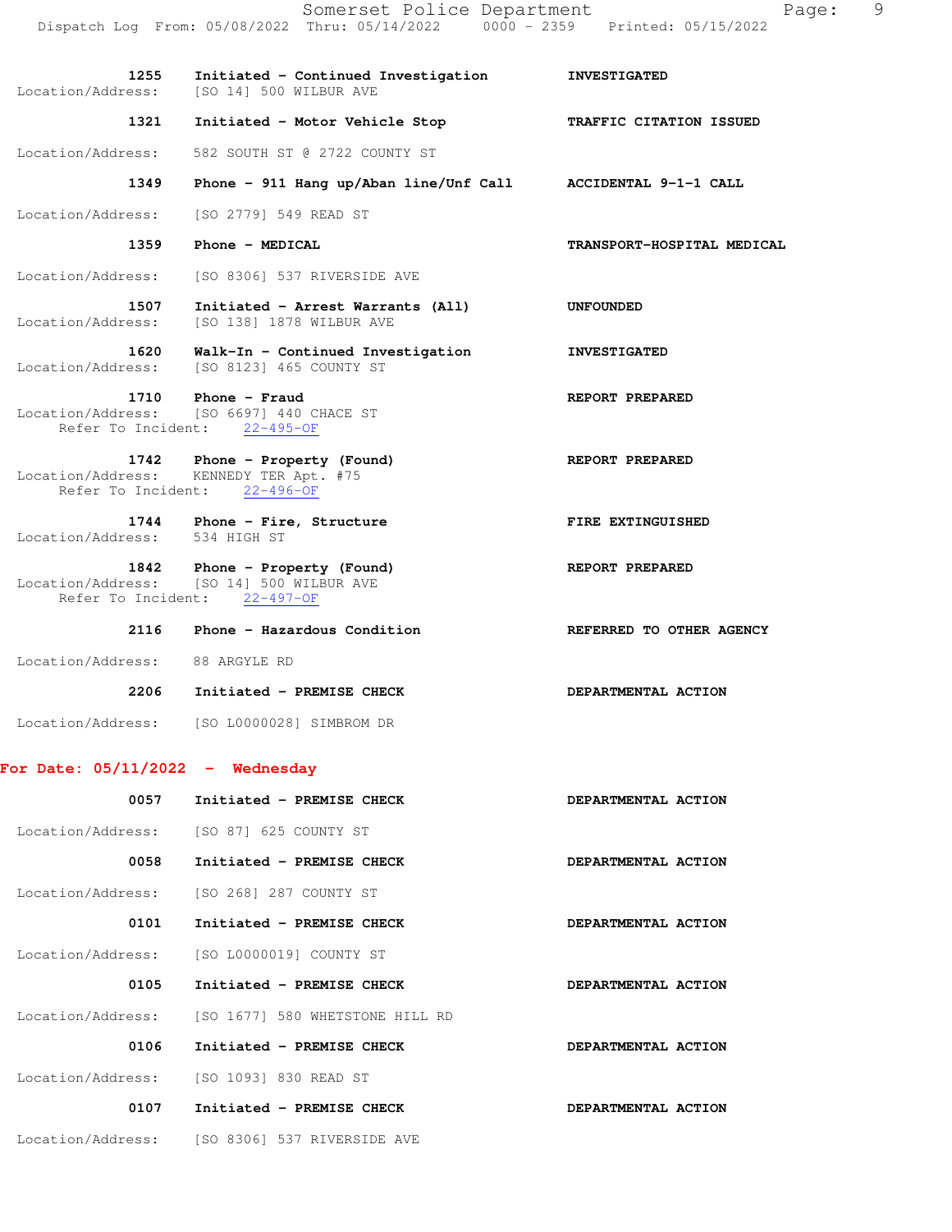Somerset Police Department Page: 9 Dispatch Log From: 05/08/2022 Thru: 05/14/2022 0000 - 2359 Printed: 05/15/2022

 **1255 Initiated - Continued Investigation INVESTIGATED**  Location/Address: [SO 14] 500 WILBUR AVE  **1321 Initiated - Motor Vehicle Stop TRAFFIC CITATION ISSUED**  Location/Address: 582 SOUTH ST @ 2722 COUNTY ST  **1349 Phone - 911 Hang up/Aban line/Unf Call ACCIDENTAL 9-1-1 CALL**  Location/Address: [SO 2779] 549 READ ST  **1359 Phone - MEDICAL TRANSPORT-HOSPITAL MEDICAL**  Location/Address: [SO 8306] 537 RIVERSIDE AVE  **1507 Initiated - Arrest Warrants (All) UNFOUNDED**  Location/Address: [SO 138] 1878 WILBUR AVE  **1620 Walk-In - Continued Investigation INVESTIGATED**  Location/Address: [SO 8123] 465 COUNTY ST  **1710** Phone - Fraud **REPORT PREPARED**  Location/Address: [SO 6697] 440 CHACE ST Refer To Incident: 22-495-OF  **1742 Phone - Property (Found) REPORT PREPARED**  Location/Address: KENNEDY TER Apt. #75 Refer To Incident: 22-496-OF 1744 Phone - Fire, Structure **FIRE EXTINGUISHED**  Location/Address: 534 HIGH ST 1842 Phone - Property (Found) REPORT PREPARED Location/Address: [SO 14] 500 WILBUR AVE Refer To Incident: 22-497-OF  **2116 Phone - Hazardous Condition REFERRED TO OTHER AGENCY**  Location/Address: 88 ARGYLE RD  **2206 Initiated - PREMISE CHECK DEPARTMENTAL ACTION**  Location/Address: [SO L0000028] SIMBROM DR **For Date: 05/11/2022 - Wednesday**

0057 Initiated - PREMISE CHECK **DEPARTMENTAL ACTION** Location/Address: [SO 87] 625 COUNTY ST 0058 Initiated - PREMISE CHECK **DEPARTMENTAL ACTION** Location/Address: [SO 268] 287 COUNTY ST 0101 Initiated - PREMISE CHECK **DEPARTMENTAL ACTION** Location/Address: [SO L0000019] COUNTY ST 0105 Initiated - PREMISE CHECK **DEPARTMENTAL ACTION**  Location/Address: [SO 1677] 580 WHETSTONE HILL RD 0106 Initiated - PREMISE CHECK **DEPARTMENTAL ACTION**  Location/Address: [SO 1093] 830 READ ST 0107 Initiated - PREMISE CHECK **DEPARTMENTAL ACTION** Location/Address: [SO 8306] 537 RIVERSIDE AVE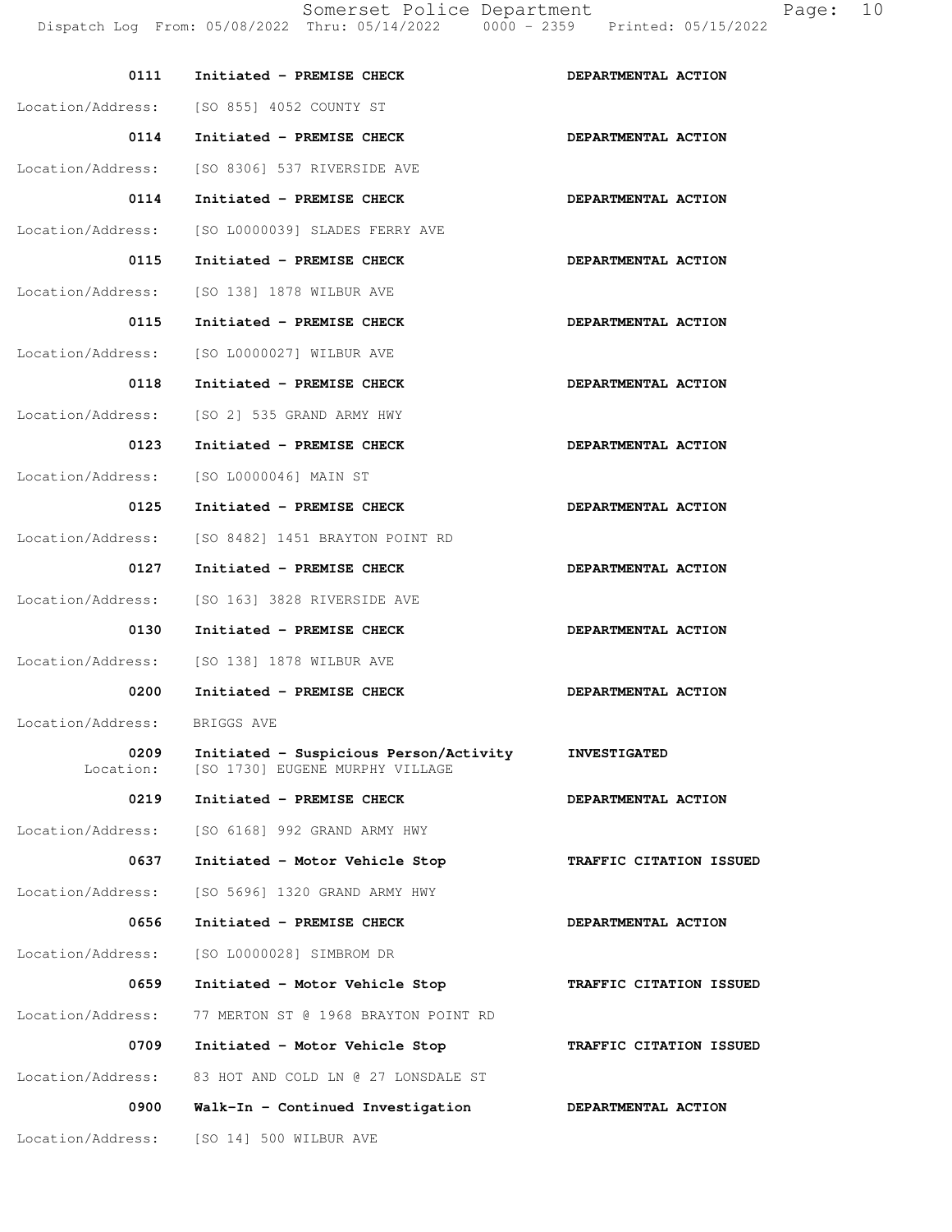| 0111              | Initiated - PREMISE CHECK                                                 | DEPARTMENTAL ACTION     |
|-------------------|---------------------------------------------------------------------------|-------------------------|
| Location/Address: | [SO 855] 4052 COUNTY ST                                                   |                         |
| 0114              | Initiated - PREMISE CHECK                                                 | DEPARTMENTAL ACTION     |
| Location/Address: | [SO 8306] 537 RIVERSIDE AVE                                               |                         |
| 0114              | Initiated - PREMISE CHECK                                                 | DEPARTMENTAL ACTION     |
| Location/Address: | [SO L0000039] SLADES FERRY AVE                                            |                         |
| 0115              | Initiated - PREMISE CHECK                                                 | DEPARTMENTAL ACTION     |
| Location/Address: | [SO 138] 1878 WILBUR AVE                                                  |                         |
| 0115              | Initiated - PREMISE CHECK                                                 | DEPARTMENTAL ACTION     |
| Location/Address: | [SO L0000027] WILBUR AVE                                                  |                         |
| 0118              | Initiated - PREMISE CHECK                                                 | DEPARTMENTAL ACTION     |
| Location/Address: | [SO 2] 535 GRAND ARMY HWY                                                 |                         |
| 0123              | Initiated - PREMISE CHECK                                                 | DEPARTMENTAL ACTION     |
| Location/Address: | [SO L0000046] MAIN ST                                                     |                         |
| 0125              | Initiated - PREMISE CHECK                                                 | DEPARTMENTAL ACTION     |
| Location/Address: | [SO 8482] 1451 BRAYTON POINT RD                                           |                         |
| 0127              | Initiated - PREMISE CHECK                                                 | DEPARTMENTAL ACTION     |
| Location/Address: | [SO 163] 3828 RIVERSIDE AVE                                               |                         |
| 0130              | Initiated - PREMISE CHECK                                                 | DEPARTMENTAL ACTION     |
| Location/Address: | [SO 138] 1878 WILBUR AVE                                                  |                         |
| 0200              | Initiated - PREMISE CHECK                                                 | DEPARTMENTAL ACTION     |
| Location/Address: | BRIGGS AVE                                                                |                         |
| 0209<br>Location: | Initiated - Suspicious Person/Activity<br>[SO 1730] EUGENE MURPHY VILLAGE | <b>INVESTIGATED</b>     |
| 0219              | Initiated - PREMISE CHECK                                                 | DEPARTMENTAL ACTION     |
| Location/Address: | [SO 6168] 992 GRAND ARMY HWY                                              |                         |
| 0637              | Initiated - Motor Vehicle Stop                                            | TRAFFIC CITATION ISSUED |
| Location/Address: | [SO 5696] 1320 GRAND ARMY HWY                                             |                         |
| 0656              | Initiated - PREMISE CHECK                                                 | DEPARTMENTAL ACTION     |
| Location/Address: | [SO L0000028] SIMBROM DR                                                  |                         |
| 0659              | Initiated - Motor Vehicle Stop                                            | TRAFFIC CITATION ISSUED |
| Location/Address: | 77 MERTON ST @ 1968 BRAYTON POINT RD                                      |                         |
| 0709              | Initiated - Motor Vehicle Stop                                            | TRAFFIC CITATION ISSUED |
| Location/Address: | 83 HOT AND COLD LN @ 27 LONSDALE ST                                       |                         |
| 0900              | Walk-In - Continued Investigation                                         | DEPARTMENTAL ACTION     |
| Location/Address: | [SO 14] 500 WILBUR AVE                                                    |                         |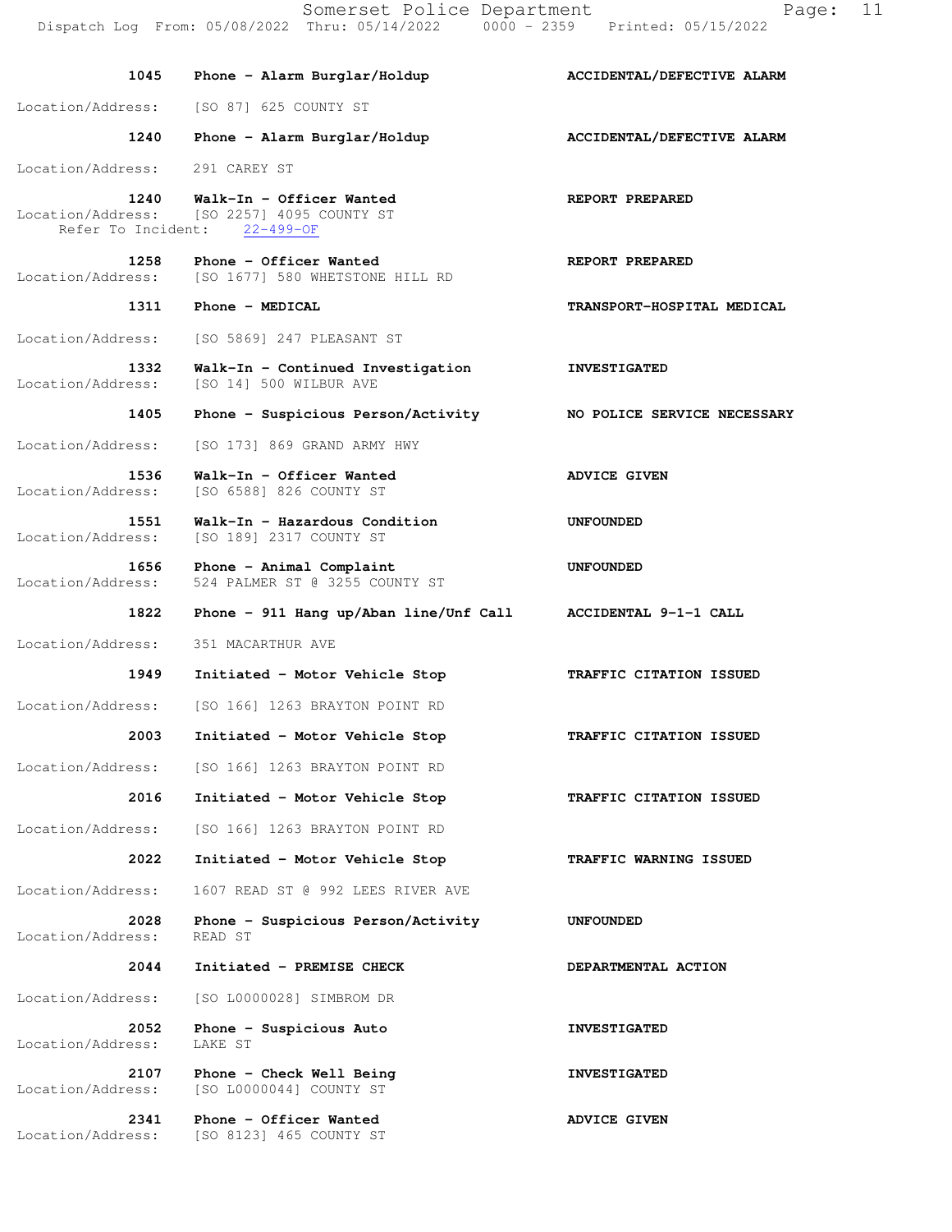|                           | Somerset Police Department<br>Dispatch Log From: 05/08/2022 Thru: 05/14/2022 0000 - 2359 Printed: 05/15/2022 | 11<br>Page:                |
|---------------------------|--------------------------------------------------------------------------------------------------------------|----------------------------|
| 1045                      | Phone - Alarm Burglar/Holdup                                                                                 | ACCIDENTAL/DEFECTIVE ALARM |
|                           | Location/Address: [SO 87] 625 COUNTY ST                                                                      |                            |
| 1240                      | Phone - Alarm Burglar/Holdup                                                                                 | ACCIDENTAL/DEFECTIVE ALARM |
| Location/Address:         | 291 CAREY ST                                                                                                 |                            |
| 1240                      | Walk-In - Officer Wanted<br>Location/Address: [SO 2257] 4095 COUNTY ST<br>Refer To Incident: 22-499-OF       | REPORT PREPARED            |
| Location/Address:         | 1258 Phone - Officer Wanted<br>[SO 1677] 580 WHETSTONE HILL RD                                               | REPORT PREPARED            |
| 1311                      | Phone - MEDICAL                                                                                              | TRANSPORT-HOSPITAL MEDICAL |
| Location/Address:         | [SO 5869] 247 PLEASANT ST                                                                                    |                            |
| 1332<br>Location/Address: | Walk-In - Continued Investigation<br>[SO 14] 500 WILBUR AVE                                                  | <b>INVESTIGATED</b>        |
| 1405                      | Phone - Suspicious Person/Activity MO POLICE SERVICE NECESSARY                                               |                            |
| Location/Address:         | [SO 173] 869 GRAND ARMY HWY                                                                                  |                            |
| 1536<br>Location/Address: | Walk-In - Officer Wanted<br>[SO 6588] 826 COUNTY ST                                                          | <b>ADVICE GIVEN</b>        |
| 1551<br>Location/Address: | Walk-In - Hazardous Condition<br>[SO 189] 2317 COUNTY ST                                                     | <b>UNFOUNDED</b>           |
| 1656<br>Location/Address: | Phone - Animal Complaint<br>524 PALMER ST @ 3255 COUNTY ST                                                   | <b>UNFOUNDED</b>           |
| 1822                      | Phone - 911 Hang up/Aban line/Unf Call                                                                       | ACCIDENTAL 9-1-1 CALL      |
| Location/Address:         | 351 MACARTHUR AVE                                                                                            |                            |
| 1949                      | Initiated - Motor Vehicle Stop                                                                               | TRAFFIC CITATION ISSUED    |
| Location/Address:         | [SO 166] 1263 BRAYTON POINT RD                                                                               |                            |
| 2003                      | Initiated - Motor Vehicle Stop                                                                               | TRAFFIC CITATION ISSUED    |
| Location/Address:         | [SO 166] 1263 BRAYTON POINT RD                                                                               |                            |
| 2016                      | Initiated - Motor Vehicle Stop                                                                               | TRAFFIC CITATION ISSUED    |
| Location/Address:         | [SO 166] 1263 BRAYTON POINT RD                                                                               |                            |
| 2022                      | Initiated - Motor Vehicle Stop                                                                               | TRAFFIC WARNING ISSUED     |
| Location/Address:         | 1607 READ ST @ 992 LEES RIVER AVE                                                                            |                            |
| 2028<br>Location/Address: | Phone - Suspicious Person/Activity<br>READ ST                                                                | <b>UNFOUNDED</b>           |
| 2044                      | Initiated - PREMISE CHECK                                                                                    | DEPARTMENTAL ACTION        |
| Location/Address:         | [SO L0000028] SIMBROM DR                                                                                     |                            |
| 2052<br>Location/Address: | Phone - Suspicious Auto<br>LAKE ST                                                                           | <b>INVESTIGATED</b>        |
| 2107<br>Location/Address: | Phone - Check Well Being<br>[SO L0000044] COUNTY ST                                                          | <b>INVESTIGATED</b>        |
| 2341<br>Location/Address: | Phone - Officer Wanted<br>[SO 8123] 465 COUNTY ST                                                            | <b>ADVICE GIVEN</b>        |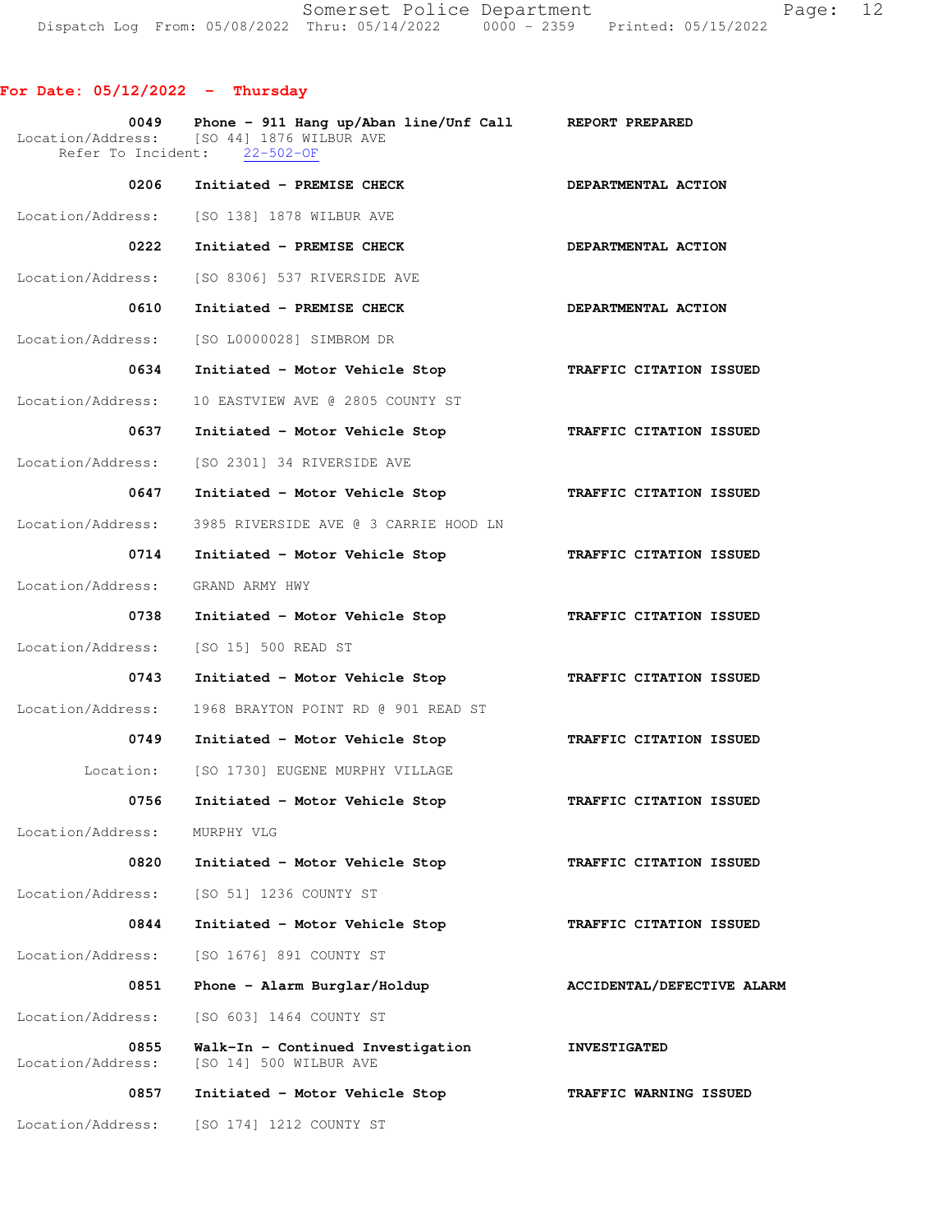## **For Date: 05/12/2022 - Thursday**

| 0049                      | Phone - 911 Hang up/Aban line/Unf Call REPORT PREPARED<br>Location/Address: [SO 44] 1876 WILBUR AVE<br>Refer To Incident: 22-502-OF |                            |
|---------------------------|-------------------------------------------------------------------------------------------------------------------------------------|----------------------------|
| 0206                      | Initiated - PREMISE CHECK                                                                                                           | DEPARTMENTAL ACTION        |
| Location/Address:         | [SO 138] 1878 WILBUR AVE                                                                                                            |                            |
| 0222                      | Initiated - PREMISE CHECK                                                                                                           | DEPARTMENTAL ACTION        |
| Location/Address:         | [SO 8306] 537 RIVERSIDE AVE                                                                                                         |                            |
| 0610                      | Initiated - PREMISE CHECK                                                                                                           | DEPARTMENTAL ACTION        |
| Location/Address:         | [SO L0000028] SIMBROM DR                                                                                                            |                            |
| 0634                      | Initiated - Motor Vehicle Stop                                                                                                      | TRAFFIC CITATION ISSUED    |
| Location/Address:         | 10 EASTVIEW AVE @ 2805 COUNTY ST                                                                                                    |                            |
| 0637                      | Initiated - Motor Vehicle Stop                                                                                                      | TRAFFIC CITATION ISSUED    |
| Location/Address:         | [SO 2301] 34 RIVERSIDE AVE                                                                                                          |                            |
| 0647                      | Initiated - Motor Vehicle Stop                                                                                                      | TRAFFIC CITATION ISSUED    |
| Location/Address:         | 3985 RIVERSIDE AVE @ 3 CARRIE HOOD LN                                                                                               |                            |
| 0714                      | Initiated - Motor Vehicle Stop                                                                                                      | TRAFFIC CITATION ISSUED    |
| Location/Address:         | GRAND ARMY HWY                                                                                                                      |                            |
| 0738                      | Initiated - Motor Vehicle Stop                                                                                                      | TRAFFIC CITATION ISSUED    |
| Location/Address:         | [SO 15] 500 READ ST                                                                                                                 |                            |
| 0743                      | Initiated - Motor Vehicle Stop                                                                                                      | TRAFFIC CITATION ISSUED    |
| Location/Address:         | 1968 BRAYTON POINT RD @ 901 READ ST                                                                                                 |                            |
| 0749                      | Initiated - Motor Vehicle Stop                                                                                                      | TRAFFIC CITATION ISSUED    |
| Location:                 | [SO 1730] EUGENE MURPHY VILLAGE                                                                                                     |                            |
| 0756                      | Initiated - Motor Vehicle Stop                                                                                                      | TRAFFIC CITATION ISSUED    |
| Location/Address:         | MURPHY VLG                                                                                                                          |                            |
| 0820                      | Initiated - Motor Vehicle Stop                                                                                                      | TRAFFIC CITATION ISSUED    |
| Location/Address:         | [SO 51] 1236 COUNTY ST                                                                                                              |                            |
| 0844                      | Initiated - Motor Vehicle Stop                                                                                                      | TRAFFIC CITATION ISSUED    |
| Location/Address:         | [SO 1676] 891 COUNTY ST                                                                                                             |                            |
| 0851                      | Phone - Alarm Burglar/Holdup                                                                                                        | ACCIDENTAL/DEFECTIVE ALARM |
| Location/Address:         | [SO 603] 1464 COUNTY ST                                                                                                             |                            |
| 0855<br>Location/Address: | Walk-In - Continued Investigation<br>[SO 14] 500 WILBUR AVE                                                                         | <b>INVESTIGATED</b>        |
| 0857                      | Initiated - Motor Vehicle Stop                                                                                                      | TRAFFIC WARNING ISSUED     |
| Location/Address:         | [SO 174] 1212 COUNTY ST                                                                                                             |                            |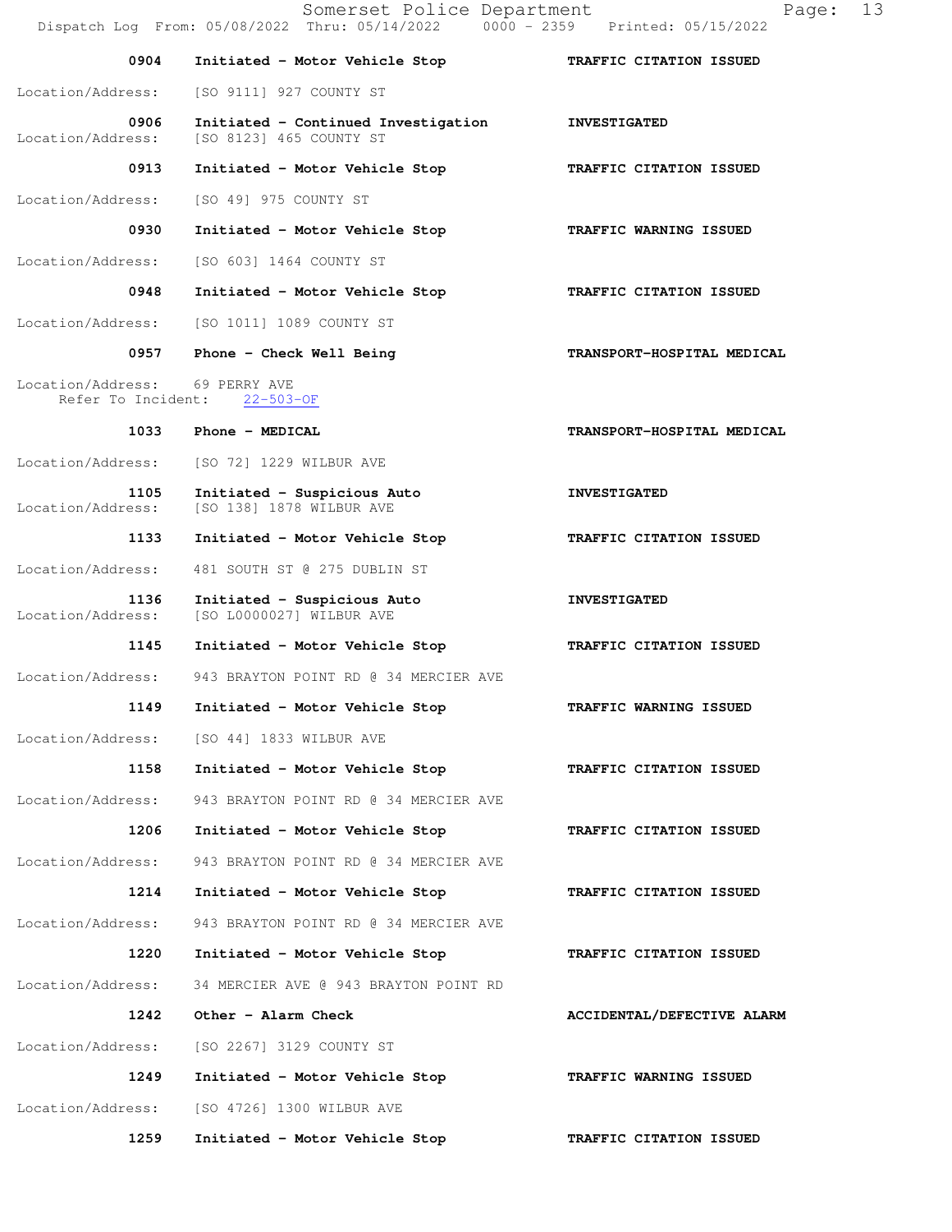|                           | Somerset Police Department<br>Dispatch Log From: 05/08/2022 Thru: 05/14/2022 0000 - 2359 Printed: 05/15/2022 | 13<br>Page:                |
|---------------------------|--------------------------------------------------------------------------------------------------------------|----------------------------|
| 0904                      | Initiated - Motor Vehicle Stop                                                                               | TRAFFIC CITATION ISSUED    |
| Location/Address:         | [SO 9111] 927 COUNTY ST                                                                                      |                            |
| 0906<br>Location/Address: | Initiated - Continued Investigation<br>[SO 8123] 465 COUNTY ST                                               | <b>INVESTIGATED</b>        |
| 0913                      | Initiated - Motor Vehicle Stop                                                                               | TRAFFIC CITATION ISSUED    |
| Location/Address:         | [SO 49] 975 COUNTY ST                                                                                        |                            |
| 0930                      | Initiated - Motor Vehicle Stop                                                                               | TRAFFIC WARNING ISSUED     |
| Location/Address:         | [SO 603] 1464 COUNTY ST                                                                                      |                            |
| 0948                      | Initiated - Motor Vehicle Stop                                                                               | TRAFFIC CITATION ISSUED    |
| Location/Address:         | [SO 1011] 1089 COUNTY ST                                                                                     |                            |
| 0957                      | Phone - Check Well Being                                                                                     | TRANSPORT-HOSPITAL MEDICAL |
| Location/Address:         | 69 PERRY AVE<br>Refer To Incident: 22-503-OF                                                                 |                            |
| 1033                      | Phone - MEDICAL                                                                                              | TRANSPORT-HOSPITAL MEDICAL |
| Location/Address:         | [SO 72] 1229 WILBUR AVE                                                                                      |                            |
| 1105<br>Location/Address: | Initiated - Suspicious Auto<br>[SO 138] 1878 WILBUR AVE                                                      | <b>INVESTIGATED</b>        |
| 1133                      | Initiated - Motor Vehicle Stop                                                                               | TRAFFIC CITATION ISSUED    |
| Location/Address:         | 481 SOUTH ST @ 275 DUBLIN ST                                                                                 |                            |
| 1136<br>Location/Address: | Initiated - Suspicious Auto<br>[SO L0000027] WILBUR AVE                                                      | <b>INVESTIGATED</b>        |
| 1145                      | Initiated - Motor Vehicle Stop                                                                               | TRAFFIC CITATION ISSUED    |
| Location/Address:         | 943 BRAYTON POINT RD @ 34 MERCIER AVE                                                                        |                            |
| 1149                      | Initiated - Motor Vehicle Stop                                                                               | TRAFFIC WARNING ISSUED     |
| Location/Address:         | [SO 44] 1833 WILBUR AVE                                                                                      |                            |
| 1158                      | Initiated - Motor Vehicle Stop                                                                               | TRAFFIC CITATION ISSUED    |
| Location/Address:         | 943 BRAYTON POINT RD @ 34 MERCIER AVE                                                                        |                            |
| 1206                      | Initiated - Motor Vehicle Stop                                                                               | TRAFFIC CITATION ISSUED    |
| Location/Address:         | 943 BRAYTON POINT RD @ 34 MERCIER AVE                                                                        |                            |
| 1214                      | Initiated - Motor Vehicle Stop                                                                               | TRAFFIC CITATION ISSUED    |
| Location/Address:         | 943 BRAYTON POINT RD @ 34 MERCIER AVE                                                                        |                            |
| 1220                      | Initiated - Motor Vehicle Stop                                                                               | TRAFFIC CITATION ISSUED    |
| Location/Address:         | 34 MERCIER AVE @ 943 BRAYTON POINT RD                                                                        |                            |
| 1242                      | Other - Alarm Check                                                                                          | ACCIDENTAL/DEFECTIVE ALARM |
| Location/Address:         | [SO 2267] 3129 COUNTY ST                                                                                     |                            |
| 1249                      | Initiated - Motor Vehicle Stop                                                                               | TRAFFIC WARNING ISSUED     |
| Location/Address:         | [SO 4726] 1300 WILBUR AVE                                                                                    |                            |
| 1259                      | Initiated - Motor Vehicle Stop                                                                               | TRAFFIC CITATION ISSUED    |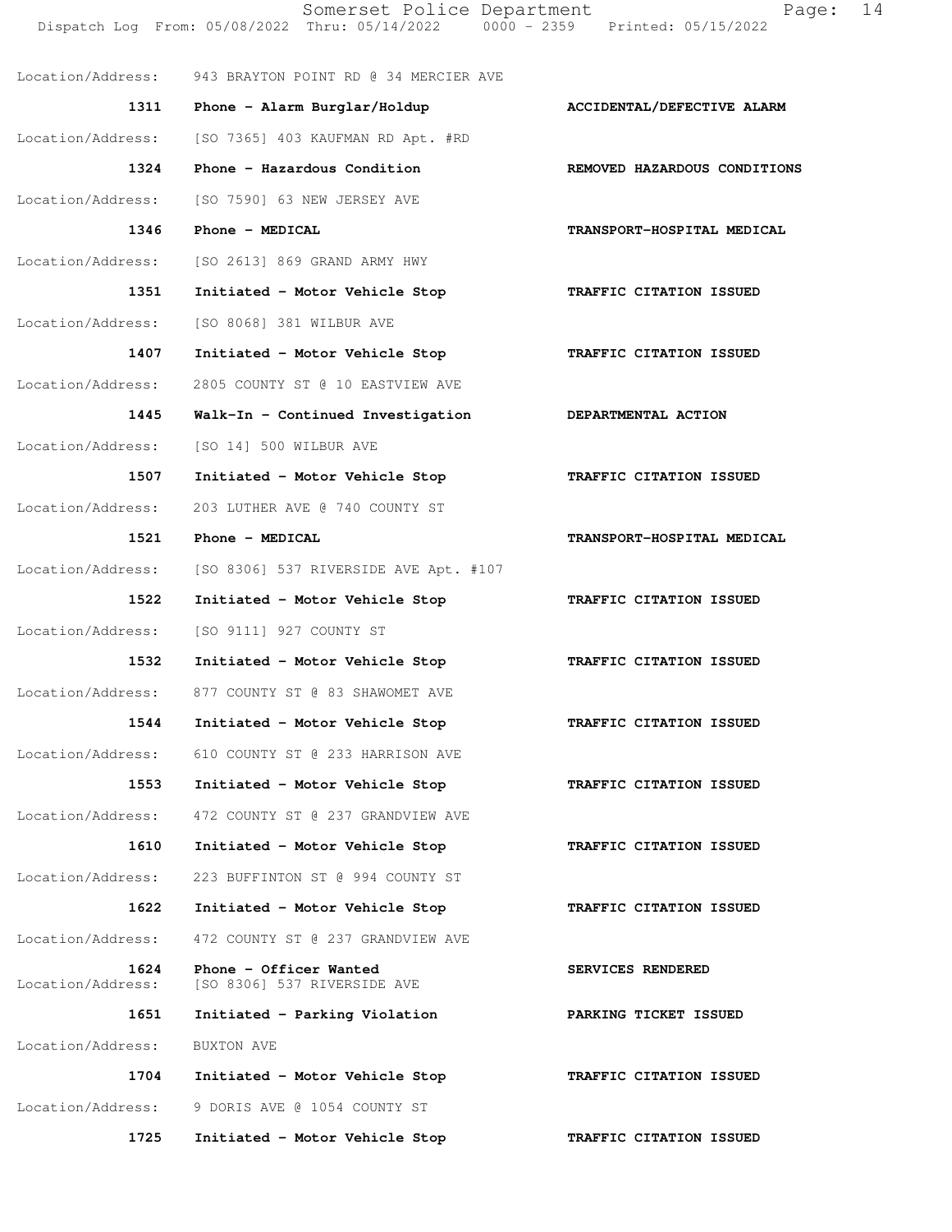Somerset Police Department Page: 14 Dispatch Log From: 05/08/2022 Thru: 05/14/2022 0000 - 2359 Printed: 05/15/2022 Location/Address: 943 BRAYTON POINT RD @ 34 MERCIER AVE 1311 Phone - Alarm Burglar/Holdup **ACCIDENTAL/DEFECTIVE ALARM**  Location/Address: [SO 7365] 403 KAUFMAN RD Apt. #RD 1324 Phone - Hazardous Condition **REMOVED HAZARDOUS CONDITIONS**  Location/Address: [SO 7590] 63 NEW JERSEY AVE  **1346 Phone - MEDICAL TRANSPORT-HOSPITAL MEDICAL**  Location/Address: [SO 2613] 869 GRAND ARMY HWY  **1351 Initiated - Motor Vehicle Stop TRAFFIC CITATION ISSUED**  Location/Address: [SO 8068] 381 WILBUR AVE  **1407 Initiated - Motor Vehicle Stop TRAFFIC CITATION ISSUED**  Location/Address: 2805 COUNTY ST @ 10 EASTVIEW AVE  **1445 Walk-In - Continued Investigation DEPARTMENTAL ACTION**  Location/Address: [SO 14] 500 WILBUR AVE  **1507 Initiated - Motor Vehicle Stop TRAFFIC CITATION ISSUED**  Location/Address: 203 LUTHER AVE @ 740 COUNTY ST  **1521 Phone - MEDICAL TRANSPORT-HOSPITAL MEDICAL**  Location/Address: [SO 8306] 537 RIVERSIDE AVE Apt. #107  **1522 Initiated - Motor Vehicle Stop TRAFFIC CITATION ISSUED**  Location/Address: [SO 9111] 927 COUNTY ST  **1532 Initiated - Motor Vehicle Stop TRAFFIC CITATION ISSUED**  Location/Address: 877 COUNTY ST @ 83 SHAWOMET AVE  **1544 Initiated - Motor Vehicle Stop TRAFFIC CITATION ISSUED**  Location/Address: 610 COUNTY ST @ 233 HARRISON AVE  **1553 Initiated - Motor Vehicle Stop TRAFFIC CITATION ISSUED**  Location/Address: 472 COUNTY ST @ 237 GRANDVIEW AVE  **1610 Initiated - Motor Vehicle Stop TRAFFIC CITATION ISSUED**  Location/Address: 223 BUFFINTON ST @ 994 COUNTY ST  **1622 Initiated - Motor Vehicle Stop TRAFFIC CITATION ISSUED**  Location/Address: 472 COUNTY ST @ 237 GRANDVIEW AVE 1624 Phone - Officer Wanted **SERVICES RENDERED**  Location/Address: [SO 8306] 537 RIVERSIDE AVE  **1651 Initiated - Parking Violation PARKING TICKET ISSUED**  Location/Address: BUXTON AVE  **1704 Initiated - Motor Vehicle Stop TRAFFIC CITATION ISSUED**  Location/Address: 9 DORIS AVE @ 1054 COUNTY ST  **1725 Initiated - Motor Vehicle Stop TRAFFIC CITATION ISSUED**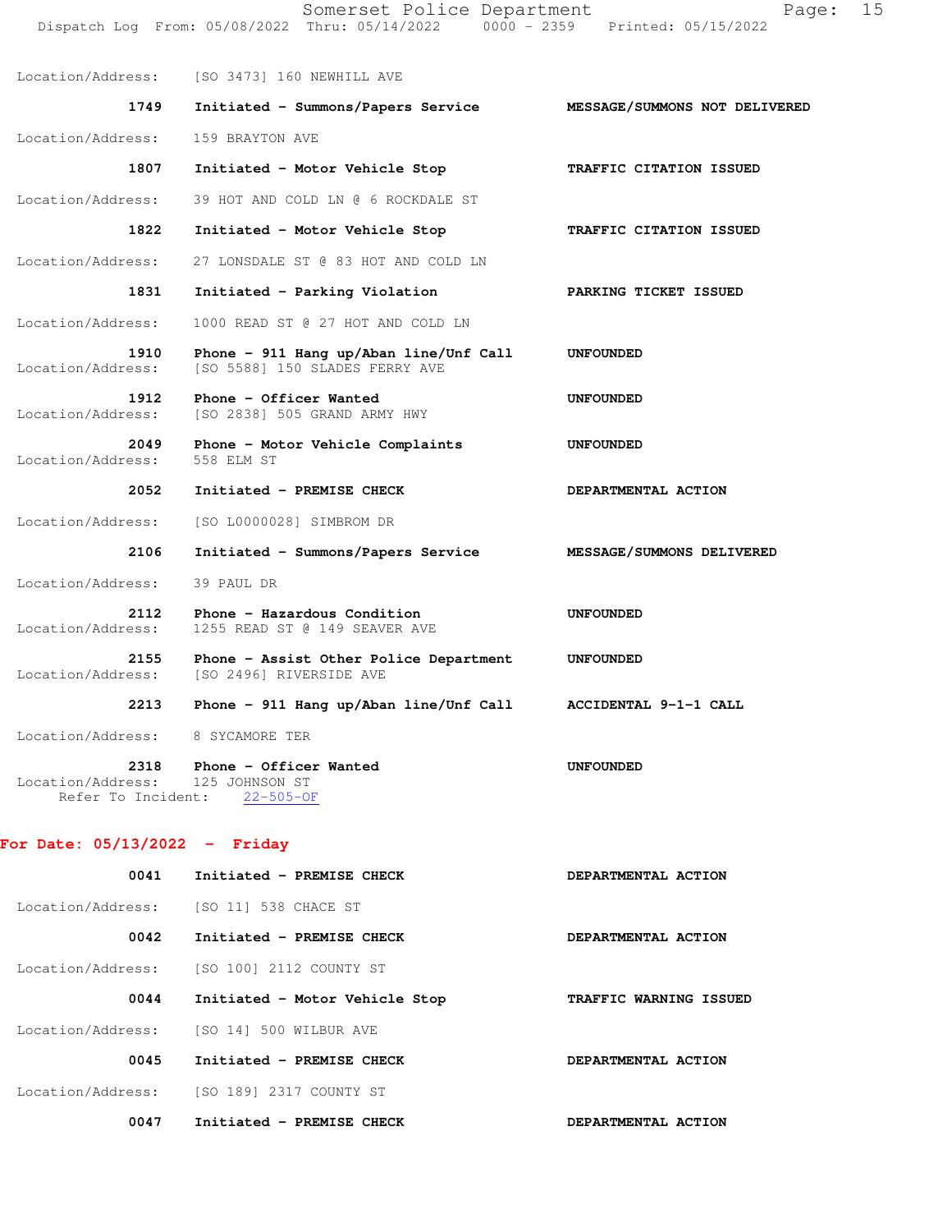| Location/Address:                                      | [SO 3473] 160 NEWHILL AVE                                                |                               |
|--------------------------------------------------------|--------------------------------------------------------------------------|-------------------------------|
| 1749                                                   | Initiated - Summons/Papers Service                                       | MESSAGE/SUMMONS NOT DELIVERED |
| Location/Address:                                      | 159 BRAYTON AVE                                                          |                               |
| 1807                                                   | Initiated - Motor Vehicle Stop                                           | TRAFFIC CITATION ISSUED       |
| Location/Address:                                      | 39 HOT AND COLD LN @ 6 ROCKDALE ST                                       |                               |
| 1822                                                   | Initiated - Motor Vehicle Stop                                           | TRAFFIC CITATION ISSUED       |
| Location/Address:                                      | 27 LONSDALE ST @ 83 HOT AND COLD LN                                      |                               |
| 1831                                                   | Initiated - Parking Violation                                            | PARKING TICKET ISSUED         |
| Location/Address:                                      | 1000 READ ST @ 27 HOT AND COLD LN                                        |                               |
| 1910<br>Location/Address:                              | Phone - 911 Hang up/Aban line/Unf Call<br>[SO 5588] 150 SLADES FERRY AVE | <b>UNFOUNDED</b>              |
| 1912                                                   | Phone - Officer Wanted<br>Location/Address: [SO 2838] 505 GRAND ARMY HWY | <b>UNFOUNDED</b>              |
| 2049<br>Location/Address:                              | Phone - Motor Vehicle Complaints<br>558 FIM ST                           | <b>UNFOUNDED</b>              |
| 2052                                                   | Initiated - PREMISE CHECK                                                | DEPARTMENTAL ACTION           |
| Location/Address:                                      | [SO L0000028] SIMBROM DR                                                 |                               |
| 2106                                                   | Initiated - Summons/Papers Service                                       | MESSAGE/SUMMONS DELIVERED     |
| Location/Address:                                      | 39 PAUL DR                                                               |                               |
| 2112<br>Location/Address:                              | Phone - Hazardous Condition<br>1255 READ ST @ 149 SEAVER AVE             | <b>UNFOUNDED</b>              |
| 2155<br>Location/Address:                              | Phone - Assist Other Police Department<br>[SO 2496] RIVERSIDE AVE        | <b>UNFOUNDED</b>              |
| 2213                                                   | Phone - 911 Hang up/Aban line/Unf Call                                   | ACCIDENTAL 9-1-1 CALL         |
| Location/Address:                                      | 8 SYCAMORE TER                                                           |                               |
| Location/Address: 125 JOHNSON ST<br>Refer To Incident: | 2318 Phone - Officer Wanted<br>$22 - 505 - OF$                           | <b>UNFOUNDED</b>              |
|                                                        |                                                                          |                               |

## **For Date: 05/13/2022 - Friday**

| 0041              | Initiated - PREMISE CHECK      | DEPARTMENTAL ACTION    |
|-------------------|--------------------------------|------------------------|
| Location/Address: | [SO 11] 538 CHACE ST           |                        |
| 0042              | Initiated - PREMISE CHECK      | DEPARTMENTAL ACTION    |
| Location/Address: | [SO 100] 2112 COUNTY ST        |                        |
| 0044              | Initiated - Motor Vehicle Stop | TRAFFIC WARNING ISSUED |
| Location/Address: | ISO 141 500 WILBUR AVE         |                        |
| 0045              | Initiated - PREMISE CHECK      | DEPARTMENTAL ACTION    |
| Location/Address: | [SO 189] 2317 COUNTY ST        |                        |
| 0047              | Initiated - PREMISE CHECK      | DEPARTMENTAL ACTION    |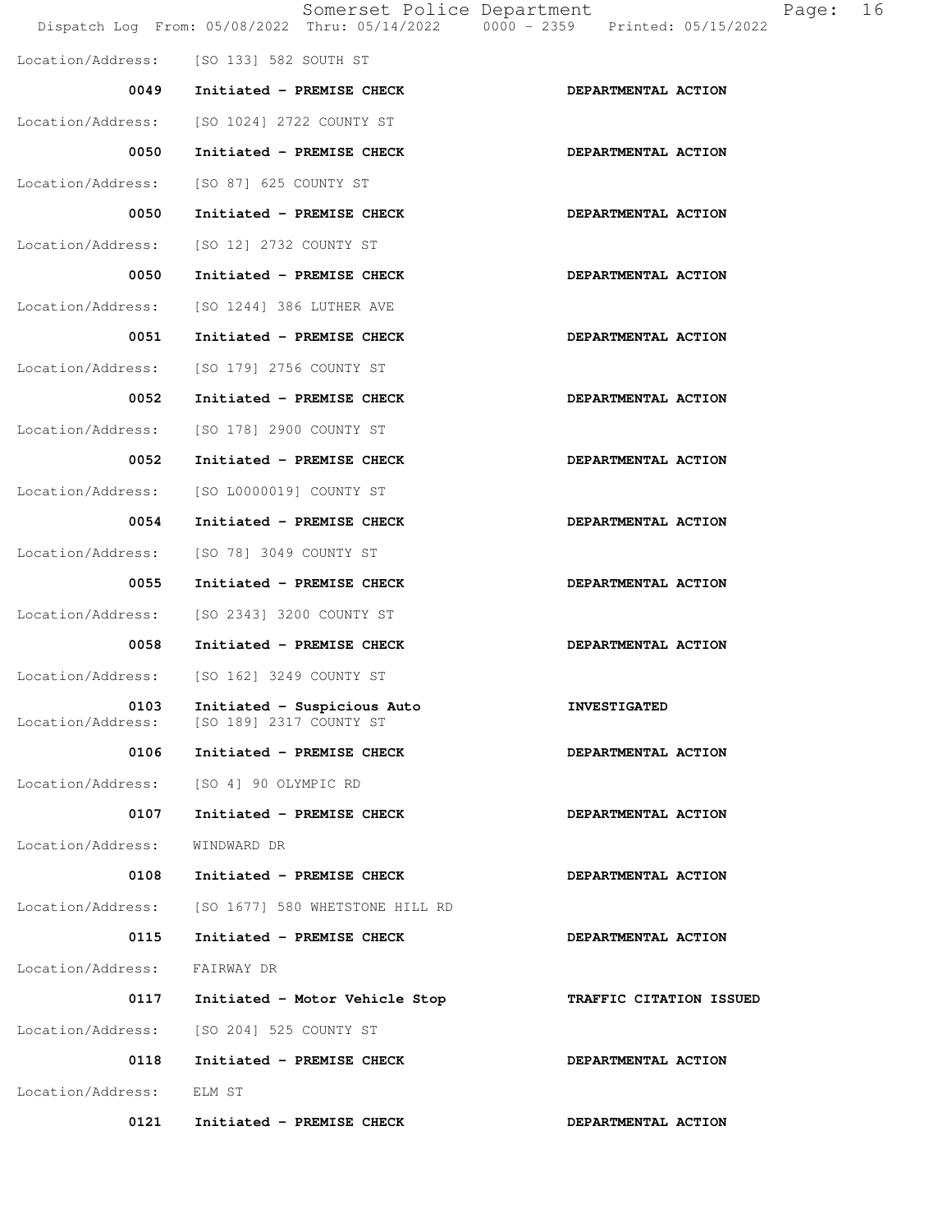|                           |                                                        | Somerset Police Department<br>Page:<br>Dispatch Log From: 05/08/2022 Thru: 05/14/2022 0000 - 2359 Printed: 05/15/2022 | 16 |
|---------------------------|--------------------------------------------------------|-----------------------------------------------------------------------------------------------------------------------|----|
|                           | Location/Address: [SO 133] 582 SOUTH ST                |                                                                                                                       |    |
| 0049                      | Initiated - PREMISE CHECK                              | DEPARTMENTAL ACTION                                                                                                   |    |
| Location/Address:         | [SO 1024] 2722 COUNTY ST                               |                                                                                                                       |    |
| 0050                      | Initiated - PREMISE CHECK                              | DEPARTMENTAL ACTION                                                                                                   |    |
| Location/Address:         | [SO 87] 625 COUNTY ST                                  |                                                                                                                       |    |
| 0050                      | Initiated - PREMISE CHECK                              | DEPARTMENTAL ACTION                                                                                                   |    |
| Location/Address:         | [SO 12] 2732 COUNTY ST                                 |                                                                                                                       |    |
| 0050                      | Initiated - PREMISE CHECK                              | DEPARTMENTAL ACTION                                                                                                   |    |
| Location/Address:         | [SO 1244] 386 LUTHER AVE                               |                                                                                                                       |    |
| 0051                      | Initiated - PREMISE CHECK                              | DEPARTMENTAL ACTION                                                                                                   |    |
| Location/Address:         | [SO 179] 2756 COUNTY ST                                |                                                                                                                       |    |
| 0052                      | Initiated - PREMISE CHECK                              | DEPARTMENTAL ACTION                                                                                                   |    |
| Location/Address:         | [SO 178] 2900 COUNTY ST                                |                                                                                                                       |    |
| 0052                      | Initiated - PREMISE CHECK                              | DEPARTMENTAL ACTION                                                                                                   |    |
| Location/Address:         | [SO L0000019] COUNTY ST                                |                                                                                                                       |    |
| 0054                      | Initiated - PREMISE CHECK                              | DEPARTMENTAL ACTION                                                                                                   |    |
| Location/Address:         | [SO 78] 3049 COUNTY ST                                 |                                                                                                                       |    |
| 0055                      | Initiated - PREMISE CHECK                              | DEPARTMENTAL ACTION                                                                                                   |    |
| Location/Address:         | [SO 2343] 3200 COUNTY ST                               |                                                                                                                       |    |
| 0058                      | Initiated - PREMISE CHECK                              | DEPARTMENTAL ACTION                                                                                                   |    |
|                           | Location/Address: [SO 162] 3249 COUNTY ST              |                                                                                                                       |    |
| 0103<br>Location/Address: | Initiated - Suspicious Auto<br>[SO 189] 2317 COUNTY ST | <b>INVESTIGATED</b>                                                                                                   |    |
| 0106                      | Initiated - PREMISE CHECK                              | DEPARTMENTAL ACTION                                                                                                   |    |
| Location/Address:         | [SO 4] 90 OLYMPIC RD                                   |                                                                                                                       |    |
| 0107                      | Initiated - PREMISE CHECK                              | DEPARTMENTAL ACTION                                                                                                   |    |
| Location/Address:         | WINDWARD DR                                            |                                                                                                                       |    |
| 0108                      | Initiated - PREMISE CHECK                              | DEPARTMENTAL ACTION                                                                                                   |    |
| Location/Address:         | [SO 1677] 580 WHETSTONE HILL RD                        |                                                                                                                       |    |
| 0115                      | Initiated - PREMISE CHECK                              | DEPARTMENTAL ACTION                                                                                                   |    |
| Location/Address:         | FAIRWAY DR                                             |                                                                                                                       |    |
| 0117                      | Initiated - Motor Vehicle Stop                         | TRAFFIC CITATION ISSUED                                                                                               |    |
| Location/Address:         | [SO 204] 525 COUNTY ST                                 |                                                                                                                       |    |
| 0118                      | Initiated - PREMISE CHECK                              | DEPARTMENTAL ACTION                                                                                                   |    |
| Location/Address:         | ELM ST                                                 |                                                                                                                       |    |
| 0121                      | Initiated - PREMISE CHECK                              | DEPARTMENTAL ACTION                                                                                                   |    |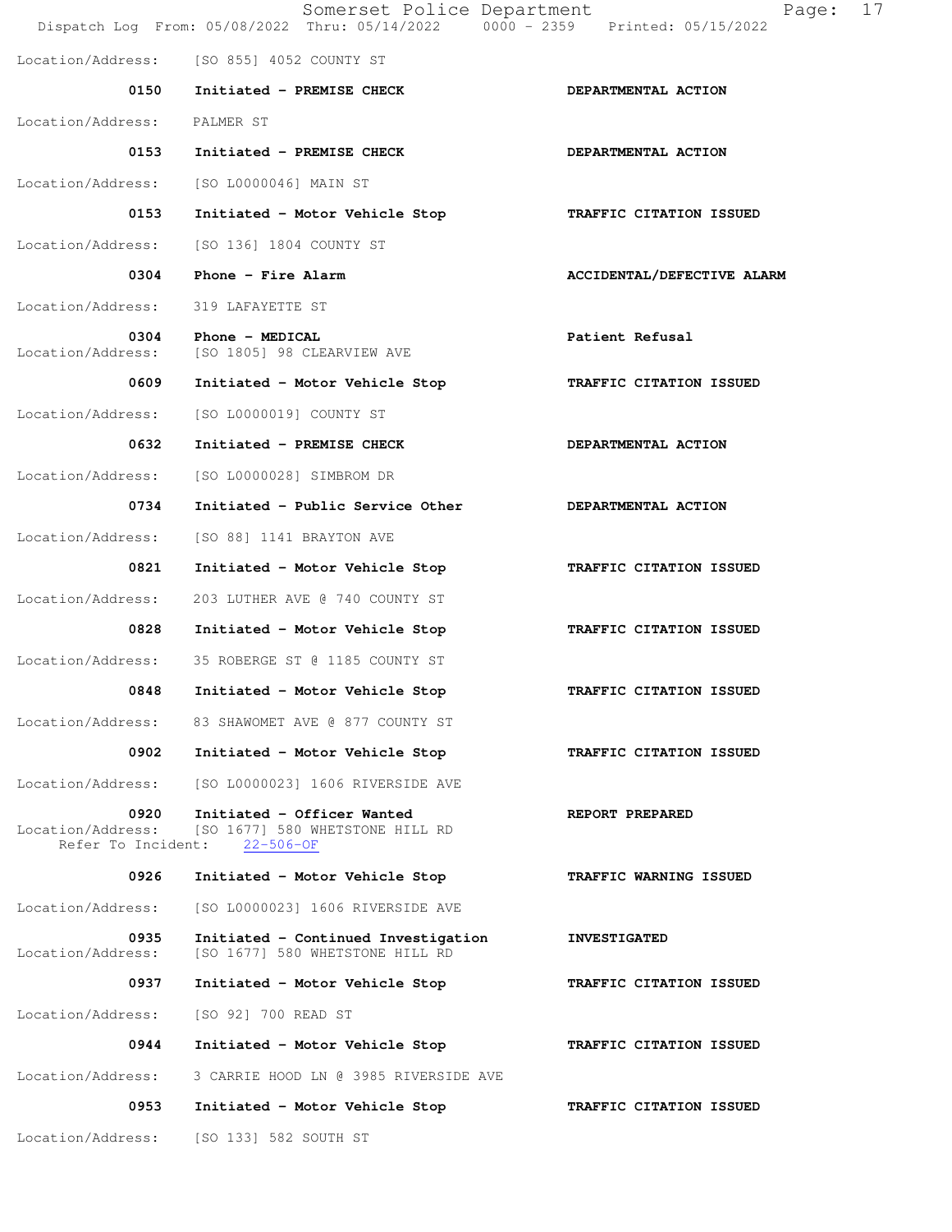|                                                 | Somerset Police Department<br>Dispatch Log From: 05/08/2022 Thru: 05/14/2022 0000 - 2359 Printed: 05/15/2022 | 17<br>Page:                |
|-------------------------------------------------|--------------------------------------------------------------------------------------------------------------|----------------------------|
|                                                 | Location/Address: [SO 855] 4052 COUNTY ST                                                                    |                            |
| 0150                                            | Initiated - PREMISE CHECK                                                                                    | DEPARTMENTAL ACTION        |
| Location/Address:                               | PALMER ST                                                                                                    |                            |
| 0153                                            | Initiated - PREMISE CHECK                                                                                    | DEPARTMENTAL ACTION        |
| Location/Address:                               | [SO L0000046] MAIN ST                                                                                        |                            |
| 0153                                            | Initiated - Motor Vehicle Stop                                                                               | TRAFFIC CITATION ISSUED    |
| Location/Address:                               | [SO 136] 1804 COUNTY ST                                                                                      |                            |
| 0304                                            | Phone - Fire Alarm                                                                                           | ACCIDENTAL/DEFECTIVE ALARM |
| Location/Address:                               | 319 LAFAYETTE ST                                                                                             |                            |
| 0304<br>Location/Address:                       | Phone - MEDICAL<br>[SO 1805] 98 CLEARVIEW AVE                                                                | Patient Refusal            |
| 0609                                            | Initiated - Motor Vehicle Stop                                                                               | TRAFFIC CITATION ISSUED    |
| Location/Address:                               | [SO L0000019] COUNTY ST                                                                                      |                            |
| 0632                                            | Initiated - PREMISE CHECK                                                                                    | DEPARTMENTAL ACTION        |
| Location/Address:                               | [SO L0000028] SIMBROM DR                                                                                     |                            |
| 0734                                            | Initiated - Public Service Other                                                                             | DEPARTMENTAL ACTION        |
| Location/Address:                               | [SO 88] 1141 BRAYTON AVE                                                                                     |                            |
| 0821                                            | Initiated - Motor Vehicle Stop                                                                               | TRAFFIC CITATION ISSUED    |
| Location/Address:                               | 203 LUTHER AVE @ 740 COUNTY ST                                                                               |                            |
| 0828                                            | Initiated - Motor Vehicle Stop                                                                               | TRAFFIC CITATION ISSUED    |
| Location/Address:                               | 35 ROBERGE ST @ 1185 COUNTY ST                                                                               |                            |
| 0848                                            | Initiated - Motor Vehicle Stop                                                                               | TRAFFIC CITATION ISSUED    |
| Location/Address:                               | 83 SHAWOMET AVE @ 877 COUNTY ST                                                                              |                            |
| 0902                                            | Initiated - Motor Vehicle Stop                                                                               | TRAFFIC CITATION ISSUED    |
| Location/Address:                               | [SO L0000023] 1606 RIVERSIDE AVE                                                                             |                            |
| 0920<br>Location/Address:<br>Refer To Incident: | Initiated - Officer Wanted<br>[SO 1677] 580 WHETSTONE HILL RD<br>$22 - 506 - OF$                             | REPORT PREPARED            |
| 0926                                            | Initiated - Motor Vehicle Stop                                                                               | TRAFFIC WARNING ISSUED     |
| Location/Address:                               | [SO L0000023] 1606 RIVERSIDE AVE                                                                             |                            |
| 0935<br>Location/Address:                       | Initiated - Continued Investigation<br>[SO 1677] 580 WHETSTONE HILL RD                                       | <b>INVESTIGATED</b>        |
| 0937                                            | Initiated - Motor Vehicle Stop                                                                               | TRAFFIC CITATION ISSUED    |
| Location/Address:                               | [SO 92] 700 READ ST                                                                                          |                            |
| 0944                                            | Initiated - Motor Vehicle Stop                                                                               | TRAFFIC CITATION ISSUED    |
| Location/Address:                               | 3 CARRIE HOOD LN @ 3985 RIVERSIDE AVE                                                                        |                            |
| 0953                                            | Initiated - Motor Vehicle Stop                                                                               | TRAFFIC CITATION ISSUED    |
| Location/Address:                               | [SO 133] 582 SOUTH ST                                                                                        |                            |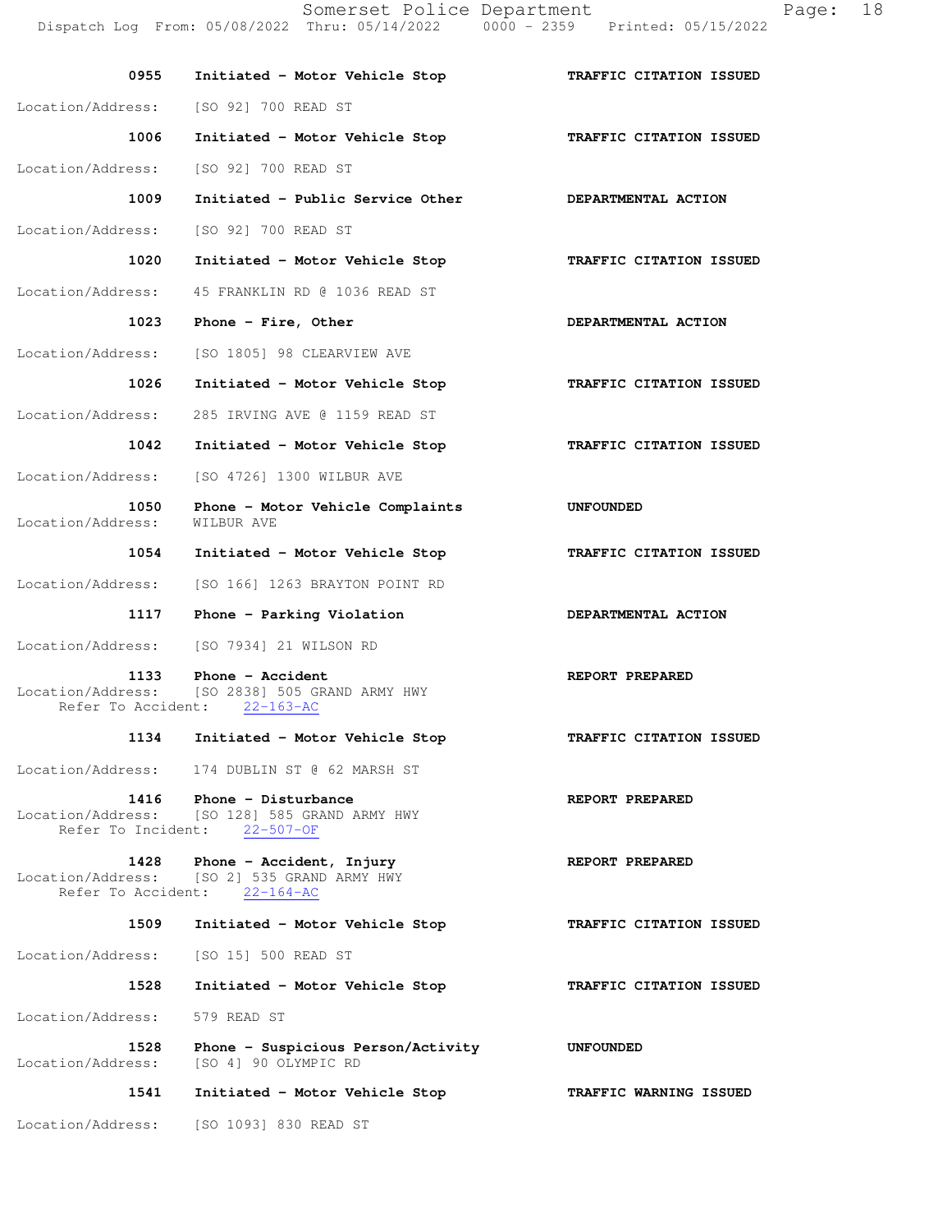Somerset Police Department Page: 18 Dispatch Log From: 05/08/2022 Thru: 05/14/2022 0000 - 2359 Printed: 05/15/2022

| 0955                                            | Initiated - Motor Vehicle Stop                                                                            | TRAFFIC CITATION ISSUED |
|-------------------------------------------------|-----------------------------------------------------------------------------------------------------------|-------------------------|
|                                                 | Location/Address: [SO 92] 700 READ ST                                                                     |                         |
| 1006                                            | Initiated - Motor Vehicle Stop                                                                            | TRAFFIC CITATION ISSUED |
| Location/Address:                               | [SO 92] 700 READ ST                                                                                       |                         |
| 1009                                            | Initiated - Public Service Other                                                                          | DEPARTMENTAL ACTION     |
| Location/Address:                               | [SO 92] 700 READ ST                                                                                       |                         |
| 1020                                            | Initiated - Motor Vehicle Stop                                                                            | TRAFFIC CITATION ISSUED |
| Location/Address:                               | 45 FRANKLIN RD @ 1036 READ ST                                                                             |                         |
| 1023                                            | Phone - Fire, Other                                                                                       | DEPARTMENTAL ACTION     |
| Location/Address:                               | [SO 1805] 98 CLEARVIEW AVE                                                                                |                         |
| 1026                                            | Initiated - Motor Vehicle Stop                                                                            | TRAFFIC CITATION ISSUED |
| Location/Address:                               | 285 IRVING AVE @ 1159 READ ST                                                                             |                         |
| 1042                                            | Initiated - Motor Vehicle Stop                                                                            | TRAFFIC CITATION ISSUED |
| Location/Address:                               | [SO 4726] 1300 WILBUR AVE                                                                                 |                         |
| 1050<br>Location/Address:                       | Phone - Motor Vehicle Complaints<br>WILBUR AVE                                                            | <b>UNFOUNDED</b>        |
| 1054                                            | Initiated - Motor Vehicle Stop                                                                            | TRAFFIC CITATION ISSUED |
| Location/Address:                               | [SO 166] 1263 BRAYTON POINT RD                                                                            |                         |
|                                                 |                                                                                                           |                         |
| 1117                                            | Phone - Parking Violation                                                                                 | DEPARTMENTAL ACTION     |
|                                                 | Location/Address: [SO 7934] 21 WILSON RD                                                                  |                         |
| 1133<br>Refer To Accident:                      | Phone - Accident<br>Location/Address: [SO 2838] 505 GRAND ARMY HWY<br>$22 - 163 - AC$                     | REPORT PREPARED         |
| 1134                                            | Initiated - Motor Vehicle Stop                                                                            | TRAFFIC CITATION ISSUED |
|                                                 | Location/Address: 174 DUBLIN ST @ 62 MARSH ST                                                             |                         |
|                                                 | 1416 Phone - Disturbance<br>Location/Address: [SO 128] 585 GRAND ARMY HWY<br>Refer To Incident: 22-507-OF | REPORT PREPARED         |
| 1428<br>Location/Address:<br>Refer To Accident: | Phone - Accident, Injury<br>[SO 2] 535 GRAND ARMY HWY<br>$22 - 164 - AC$                                  | REPORT PREPARED         |
| 1509                                            | Initiated - Motor Vehicle Stop                                                                            | TRAFFIC CITATION ISSUED |
| Location/Address:                               | [SO 15] 500 READ ST                                                                                       |                         |
| 1528                                            | Initiated - Motor Vehicle Stop                                                                            | TRAFFIC CITATION ISSUED |
| Location/Address:                               | 579 READ ST                                                                                               |                         |
| 1528<br>Location/Address:                       | Phone - Suspicious Person/Activity<br>[SO 4] 90 OLYMPIC RD                                                | UNFOUNDED               |
| 1541                                            | Initiated - Motor Vehicle Stop                                                                            | TRAFFIC WARNING ISSUED  |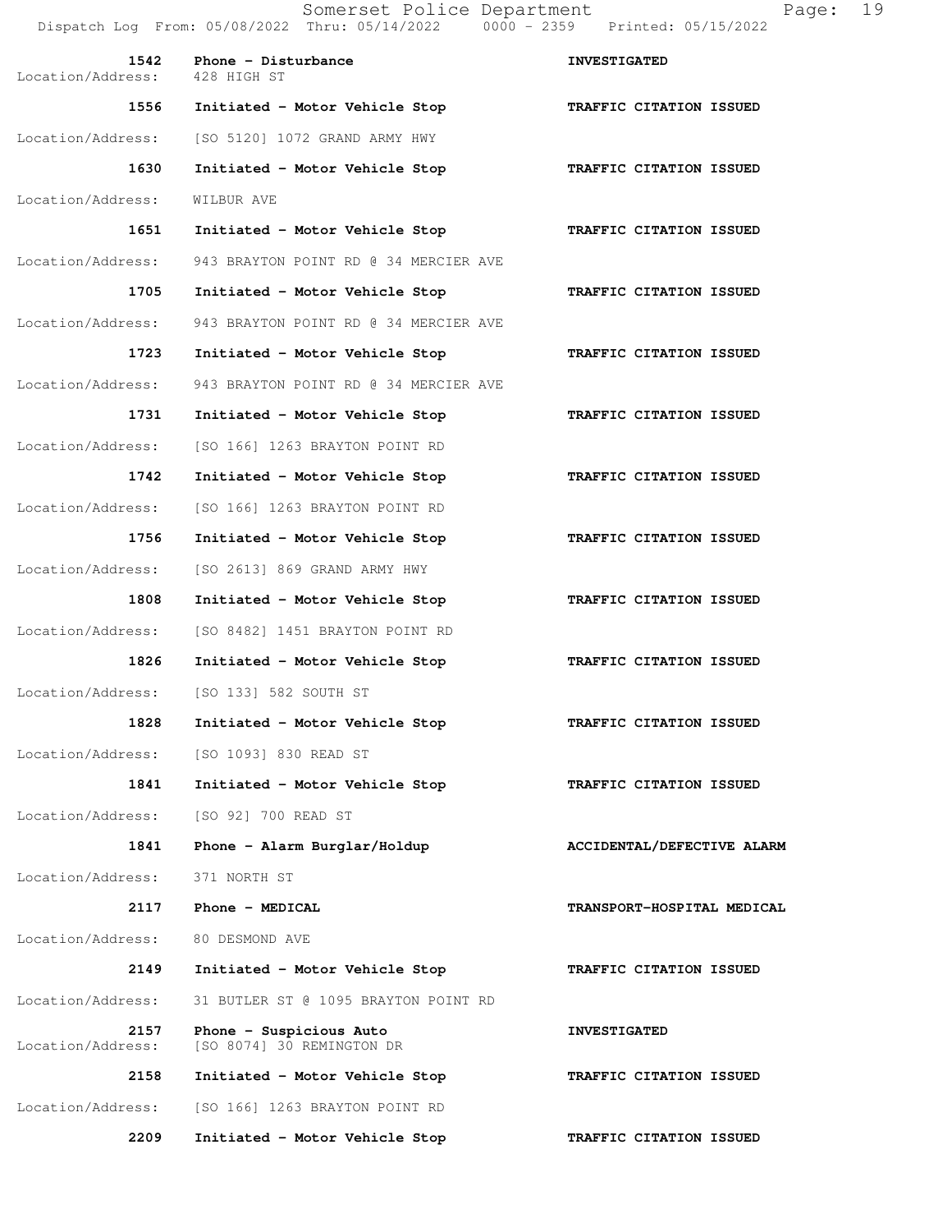Somerset Police Department Page: 19 Dispatch Log From: 05/08/2022 Thru: 05/14/2022 0000 - 2359 Printed: 05/15/2022

**1542 Phone - Disturbance 1842 Phone - Disturbance 1842 Phone INVESTIGATED**<br>ess: 428 HIGH ST Location/Address:  **1556 Initiated - Motor Vehicle Stop TRAFFIC CITATION ISSUED**  Location/Address: [SO 5120] 1072 GRAND ARMY HWY  **1630 Initiated - Motor Vehicle Stop TRAFFIC CITATION ISSUED**  Location/Address: WILBUR AVE  **1651 Initiated - Motor Vehicle Stop TRAFFIC CITATION ISSUED**  Location/Address: 943 BRAYTON POINT RD @ 34 MERCIER AVE  **1705 Initiated - Motor Vehicle Stop TRAFFIC CITATION ISSUED**  Location/Address: 943 BRAYTON POINT RD @ 34 MERCIER AVE  **1723 Initiated - Motor Vehicle Stop TRAFFIC CITATION ISSUED**  Location/Address: 943 BRAYTON POINT RD @ 34 MERCIER AVE  **1731 Initiated - Motor Vehicle Stop TRAFFIC CITATION ISSUED**  Location/Address: [SO 166] 1263 BRAYTON POINT RD  **1742 Initiated - Motor Vehicle Stop TRAFFIC CITATION ISSUED**  Location/Address: [SO 166] 1263 BRAYTON POINT RD  **1756 Initiated - Motor Vehicle Stop TRAFFIC CITATION ISSUED**  Location/Address: [SO 2613] 869 GRAND ARMY HWY  **1808 Initiated - Motor Vehicle Stop TRAFFIC CITATION ISSUED**  Location/Address: [SO 8482] 1451 BRAYTON POINT RD  **1826 Initiated - Motor Vehicle Stop TRAFFIC CITATION ISSUED**  Location/Address: [SO 133] 582 SOUTH ST  **1828 Initiated - Motor Vehicle Stop TRAFFIC CITATION ISSUED**  Location/Address: [SO 1093] 830 READ ST  **1841 Initiated - Motor Vehicle Stop TRAFFIC CITATION ISSUED**  Location/Address: [SO 92] 700 READ ST 1841 Phone - Alarm Burglar/Holdup **ACCIDENTAL/DEFECTIVE ALARM**  Location/Address: 371 NORTH ST  **2117 Phone - MEDICAL TRANSPORT-HOSPITAL MEDICAL**  Location/Address: 80 DESMOND AVE  **2149 Initiated - Motor Vehicle Stop TRAFFIC CITATION ISSUED**  Location/Address: 31 BUTLER ST @ 1095 BRAYTON POINT RD  **2157 Phone - Suspicious Auto INVESTIGATED**  Location/Address: [SO 8074] 30 REMINGTON DR  **2158 Initiated - Motor Vehicle Stop TRAFFIC CITATION ISSUED**  Location/Address: [SO 166] 1263 BRAYTON POINT RD  **2209 Initiated - Motor Vehicle Stop TRAFFIC CITATION ISSUED**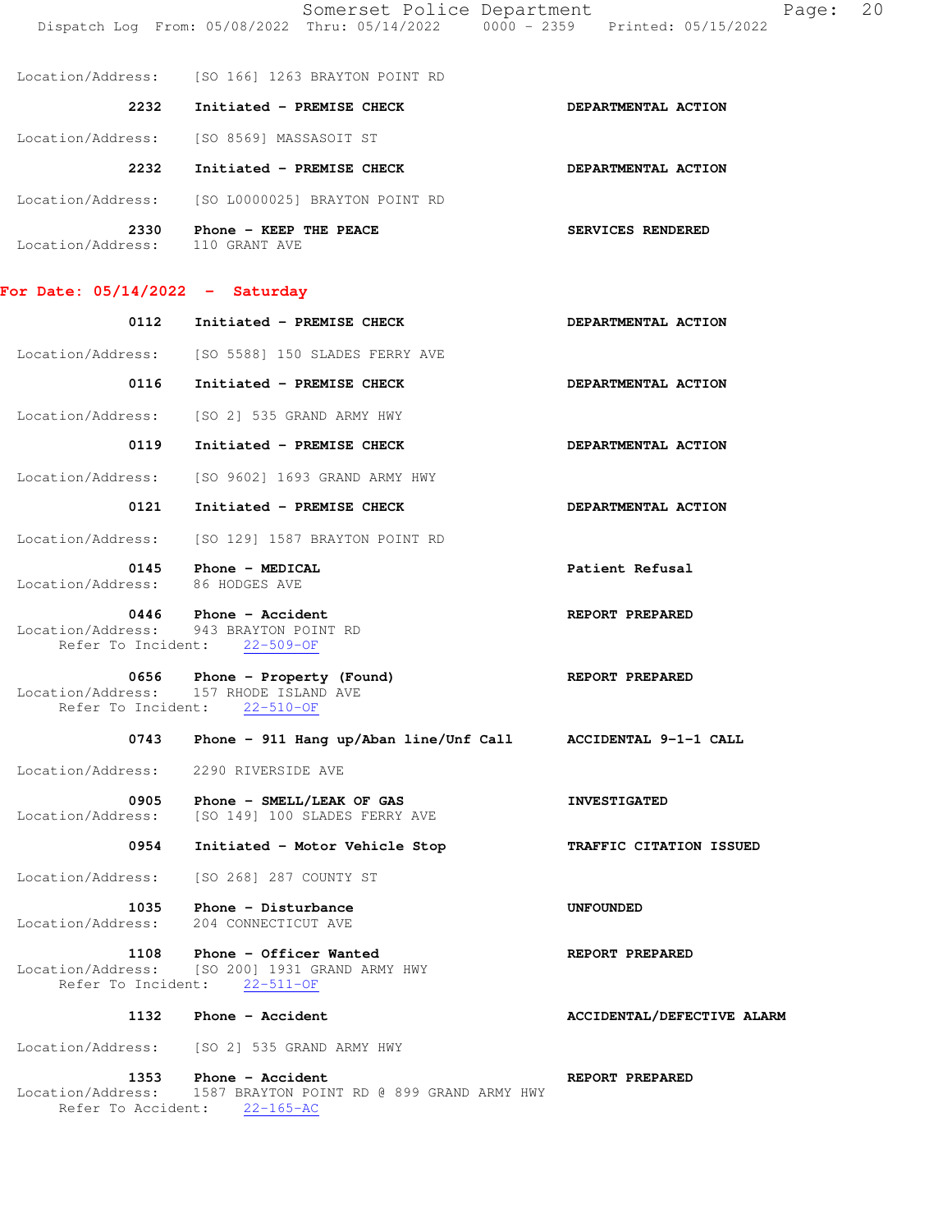|                                                 | Somerset Police Department<br>Dispatch Log From: 05/08/2022 Thru: 05/14/2022 0000 - 2359 Printed: 05/15/2022 | Page:                      | 20 |
|-------------------------------------------------|--------------------------------------------------------------------------------------------------------------|----------------------------|----|
|                                                 | Location/Address: [SO 166] 1263 BRAYTON POINT RD                                                             |                            |    |
| 2232                                            | Initiated - PREMISE CHECK                                                                                    | DEPARTMENTAL ACTION        |    |
| Location/Address:                               | [SO 8569] MASSASOIT ST                                                                                       |                            |    |
| 2232                                            | Initiated - PREMISE CHECK                                                                                    | DEPARTMENTAL ACTION        |    |
| Location/Address:                               | [SO L0000025] BRAYTON POINT RD                                                                               |                            |    |
| 2330<br>Location/Address: 110 GRANT AVE         | Phone - KEEP THE PEACE                                                                                       | SERVICES RENDERED          |    |
| For Date: $05/14/2022 -$ Saturday               |                                                                                                              |                            |    |
| 0112                                            | Initiated - PREMISE CHECK                                                                                    | DEPARTMENTAL ACTION        |    |
|                                                 | Location/Address: [SO 5588] 150 SLADES FERRY AVE                                                             |                            |    |
| 0116                                            | Initiated - PREMISE CHECK                                                                                    | DEPARTMENTAL ACTION        |    |
| Location/Address:                               | [SO 2] 535 GRAND ARMY HWY                                                                                    |                            |    |
| 0119                                            | Initiated - PREMISE CHECK                                                                                    | DEPARTMENTAL ACTION        |    |
| Location/Address:                               | [SO 9602] 1693 GRAND ARMY HWY                                                                                |                            |    |
| 0121                                            | Initiated - PREMISE CHECK                                                                                    | DEPARTMENTAL ACTION        |    |
| Location/Address:                               | [SO 129] 1587 BRAYTON POINT RD                                                                               |                            |    |
| Location/Address:                               | 0145 Phone - MEDICAL<br>86 HODGES AVE                                                                        | Patient Refusal            |    |
| Location/Address:                               | 0446 Phone - Accident<br>943 BRAYTON POINT RD<br>Refer To Incident: 22-509-OF                                | REPORT PREPARED            |    |
| 0656<br>Location/Address:<br>Refer To Incident: | Phone - Property (Found)<br>157 RHODE ISLAND AVE<br>$22 - 510 - OF$                                          | REPORT PREPARED            |    |
| 0743                                            | Phone - 911 Hang up/Aban line/Unf Call                                                                       | ACCIDENTAL 9-1-1 CALL      |    |
| Location/Address:                               | 2290 RIVERSIDE AVE                                                                                           |                            |    |
| 0905<br>Location/Address:                       | Phone - SMELL/LEAK OF GAS<br>[SO 149] 100 SLADES FERRY AVE                                                   | <b>INVESTIGATED</b>        |    |
| 0954                                            | Initiated - Motor Vehicle Stop                                                                               | TRAFFIC CITATION ISSUED    |    |
| Location/Address:                               | [SO 268] 287 COUNTY ST                                                                                       |                            |    |
| 1035<br>Location/Address:                       | Phone - Disturbance<br>204 CONNECTICUT AVE                                                                   | <b>UNFOUNDED</b>           |    |
| 1108<br>Location/Address:<br>Refer To Incident: | Phone - Officer Wanted<br>[SO 200] 1931 GRAND ARMY HWY<br>$22 - 511 - OF$                                    | REPORT PREPARED            |    |
| 1132                                            | Phone - Accident                                                                                             | ACCIDENTAL/DEFECTIVE ALARM |    |
| Location/Address:                               | [SO 2] 535 GRAND ARMY HWY                                                                                    |                            |    |
| Location/Address:                               | 1353 Phone - Accident<br>1587 BRAYTON POINT RD @ 899 GRAND ARMY HWY<br>Refer To Accident: 22-165-AC          | REPORT PREPARED            |    |